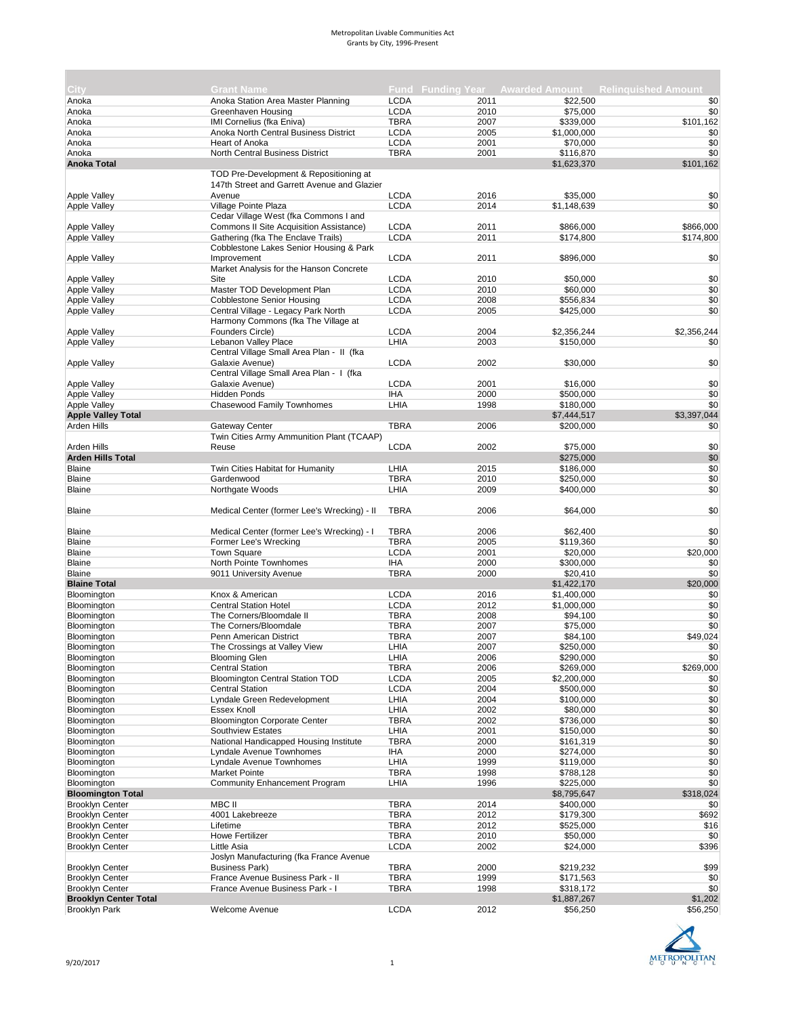| <b>City</b>                  | <b>Grant Name</b>                                 |                            |              |                      | Fund Funding Year Awarded Amount Relinquished Amount |
|------------------------------|---------------------------------------------------|----------------------------|--------------|----------------------|------------------------------------------------------|
| Anoka                        | Anoka Station Area Master Planning                | <b>LCDA</b>                | 2011         | \$22,500             | \$0                                                  |
| Anoka                        | Greenhaven Housing                                | <b>LCDA</b>                | 2010         | \$75,000             | \$0                                                  |
| Anoka                        | IMI Cornelius (fka Eniva)                         | <b>TBRA</b>                | 2007         | \$339,000            | \$101,162                                            |
| Anoka                        | Anoka North Central Business District             | <b>LCDA</b>                | 2005         | \$1,000,000          | \$0                                                  |
| Anoka                        | Heart of Anoka                                    | <b>LCDA</b>                | 2001         | \$70,000             | \$0                                                  |
| Anoka                        | North Central Business District                   | <b>TBRA</b>                | 2001         | \$116,870            | \$0                                                  |
| <b>Anoka Total</b>           |                                                   |                            |              | \$1,623,370          | \$101,162                                            |
|                              | TOD Pre-Development & Repositioning at            |                            |              |                      |                                                      |
|                              | 147th Street and Garrett Avenue and Glazier       |                            |              |                      |                                                      |
| <b>Apple Valley</b>          | Avenue                                            | <b>LCDA</b>                | 2016         | \$35,000             | \$0                                                  |
| <b>Apple Valley</b>          | Village Pointe Plaza                              | <b>LCDA</b>                | 2014         | \$1,148,639          | \$0                                                  |
|                              | Cedar Village West (fka Commons I and             |                            |              |                      |                                                      |
| Apple Valley                 | Commons II Site Acquisition Assistance)           | <b>LCDA</b>                | 2011         | \$866,000            | \$866,000                                            |
| <b>Apple Valley</b>          | Gathering (fka The Enclave Trails)                | <b>LCDA</b>                | 2011         | \$174,800            | \$174,800                                            |
|                              | Cobblestone Lakes Senior Housing & Park           |                            |              |                      |                                                      |
| Apple Valley                 | Improvement                                       | <b>LCDA</b>                | 2011         | \$896,000            | \$0                                                  |
|                              | Market Analysis for the Hanson Concrete           |                            |              |                      |                                                      |
| Apple Valley                 | Site                                              | <b>LCDA</b>                | 2010         | \$50,000             | \$0                                                  |
| <b>Apple Valley</b>          | Master TOD Development Plan                       | <b>LCDA</b>                | 2010         | \$60,000             | \$0                                                  |
| <b>Apple Valley</b>          | <b>Cobblestone Senior Housing</b>                 | <b>LCDA</b>                | 2008         | \$556,834            | \$0                                                  |
| <b>Apple Valley</b>          | Central Village - Legacy Park North               | <b>LCDA</b>                | 2005         | \$425,000            | \$0                                                  |
|                              | Harmony Commons (fka The Village at               |                            |              |                      |                                                      |
| <b>Apple Valley</b>          | Founders Circle)                                  | <b>LCDA</b>                | 2004         | \$2,356,244          | \$2,356,244                                          |
| <b>Apple Valley</b>          | Lebanon Valley Place                              | LHIA                       | 2003         | \$150,000            | \$0                                                  |
|                              | Central Village Small Area Plan - II (fka         |                            |              |                      |                                                      |
| <b>Apple Valley</b>          | Galaxie Avenue)                                   | <b>LCDA</b>                | 2002         | \$30,000             | \$0                                                  |
|                              | Central Village Small Area Plan - I (fka          |                            |              |                      |                                                      |
| <b>Apple Valley</b>          | Galaxie Avenue)                                   | <b>LCDA</b>                | 2001         | \$16,000             | \$0                                                  |
| Apple Valley                 | <b>Hidden Ponds</b>                               | <b>IHA</b>                 | 2000         | \$500,000            | \$0                                                  |
| <b>Apple Valley</b>          | <b>Chasewood Family Townhomes</b>                 | LHIA                       | 1998         | \$180,000            | \$0                                                  |
| <b>Apple Valley Total</b>    |                                                   |                            |              | \$7,444,517          | \$3,397,044                                          |
| Arden Hills                  | <b>Gateway Center</b>                             | <b>TBRA</b>                | 2006         | \$200,000            | \$0                                                  |
|                              | Twin Cities Army Ammunition Plant (TCAAP)         |                            |              |                      |                                                      |
| Arden Hills                  | Reuse                                             | <b>LCDA</b>                | 2002         | \$75,000             | \$0                                                  |
| <b>Arden Hills Total</b>     |                                                   |                            |              | \$275,000            | \$0                                                  |
| <b>Blaine</b>                | Twin Cities Habitat for Humanity                  | LHIA                       | 2015         | \$186,000            | \$0                                                  |
| <b>Blaine</b>                | Gardenwood                                        | <b>TBRA</b>                | 2010         | \$250,000            | \$0                                                  |
| <b>Blaine</b>                | Northgate Woods                                   | LHIA                       | 2009         | \$400,000            | \$0                                                  |
|                              |                                                   |                            |              |                      |                                                      |
| <b>Blaine</b>                | Medical Center (former Lee's Wrecking) - II       | <b>TBRA</b>                | 2006         | \$64,000             | \$0                                                  |
|                              |                                                   |                            |              |                      |                                                      |
| <b>Blaine</b>                | Medical Center (former Lee's Wrecking) - I        | <b>TBRA</b>                | 2006         | \$62,400             | \$0                                                  |
| Blaine                       | Former Lee's Wrecking                             | <b>TBRA</b>                | 2005         | \$119,360            | \$0                                                  |
| Blaine                       | <b>Town Square</b>                                | <b>LCDA</b>                | 2001         | \$20,000             | \$20,000                                             |
| <b>Blaine</b>                | North Pointe Townhomes                            | IHA                        | 2000         | \$300,000            | \$0                                                  |
| <b>Blaine</b>                | 9011 University Avenue                            | <b>TBRA</b>                | 2000         | \$20,410             | \$0                                                  |
| <b>Blaine Total</b>          |                                                   |                            |              | \$1,422,170          | \$20,000                                             |
|                              |                                                   | <b>LCDA</b>                |              | \$1,400,000          |                                                      |
| Bloomington                  | Knox & American                                   |                            | 2016         |                      | \$0                                                  |
| Bloomington                  | <b>Central Station Hotel</b>                      | <b>LCDA</b>                | 2012         | \$1,000,000          | \$0                                                  |
| Bloomington<br>Bloomington   | The Corners/Bloomdale II<br>The Corners/Bloomdale | <b>TBRA</b><br><b>TBRA</b> | 2008<br>2007 | \$94,100<br>\$75,000 | \$0<br>\$0                                           |
|                              |                                                   |                            |              |                      |                                                      |
| Bloomington                  | Penn American District                            | <b>TBRA</b>                | 2007         | \$84,100             | \$49,024                                             |
| Bloomington                  | The Crossings at Valley View                      | LHIA                       | 2007         | \$250,000            | \$0                                                  |
| <b>Bloomington</b>           | <b>Blooming Glen</b>                              | LHIA                       | 2006         | \$290,000            | \$0                                                  |
| Bloomington                  | <b>Central Station</b>                            | TBRA                       | 2006         | \$269,000            | \$269,000                                            |
| Bloomington                  | <b>Bloomington Central Station TOD</b>            | <b>LCDA</b>                | 2005         | \$2,200,000          | \$0                                                  |
| Bloomington                  | <b>Central Station</b>                            | <b>LCDA</b>                | 2004         | \$500,000            | \$0                                                  |
| Bloomington                  | Lyndale Green Redevelopment                       | LHIA                       | 2004         | \$100,000            | \$0                                                  |
| Bloomington                  | <b>Essex Knoll</b>                                | LHIA                       | 2002         | \$80,000             | \$0                                                  |
| Bloomington                  | <b>Bloomington Corporate Center</b>               | <b>TBRA</b>                | 2002         | \$736,000            | \$0                                                  |
| Bloomington                  | Southview Estates                                 | LHIA                       | 2001         | \$150,000            | \$0                                                  |
| Bloomington                  | National Handicapped Housing Institute            | <b>TBRA</b>                | 2000         | \$161,319            | \$0                                                  |
| Bloomington                  | Lyndale Avenue Townhomes                          | IHA                        | 2000         | \$274,000            | \$0                                                  |
| Bloomington                  | Lyndale Avenue Townhomes                          | LHIA                       | 1999         | \$119,000            | \$0                                                  |
| Bloomington                  | <b>Market Pointe</b>                              | <b>TBRA</b>                | 1998         | \$788,128            | \$0                                                  |
| Bloomington                  | Community Enhancement Program                     | LHIA                       | 1996         | \$225,000            | \$0                                                  |
| <b>Bloomington Total</b>     |                                                   |                            |              | \$8,795,647          | \$318,024                                            |
| <b>Brooklyn Center</b>       | MBC II                                            | <b>TBRA</b>                | 2014         | \$400,000            | \$0                                                  |
| <b>Brooklyn Center</b>       | 4001 Lakebreeze                                   | <b>TBRA</b>                | 2012         | \$179,300            | \$692                                                |
| <b>Brooklyn Center</b>       | Lifetime                                          | <b>TBRA</b>                | 2012         | \$525,000            | \$16                                                 |
| <b>Brooklyn Center</b>       | Howe Fertilizer                                   | <b>TBRA</b>                | 2010         | \$50,000             | \$0                                                  |
| <b>Brooklyn Center</b>       | Little Asia                                       | <b>LCDA</b>                | 2002         | \$24,000             | \$396                                                |
|                              | Joslyn Manufacturing (fka France Avenue           |                            |              |                      |                                                      |
| <b>Brooklyn Center</b>       | <b>Business Park)</b>                             | <b>TBRA</b>                | 2000         | \$219,232            | \$99                                                 |
| <b>Brooklyn Center</b>       | France Avenue Business Park - II                  | <b>TBRA</b>                | 1999         | \$171,563            | \$0                                                  |
| <b>Brooklyn Center</b>       | France Avenue Business Park - I                   | <b>TBRA</b>                | 1998         | \$318,172            | \$0                                                  |
| <b>Brooklyn Center Total</b> |                                                   |                            |              | \$1,887,267          | \$1,202                                              |
| <b>Brooklyn Park</b>         | Welcome Avenue                                    | <b>LCDA</b>                | 2012         | \$56,250             | \$56,250                                             |



×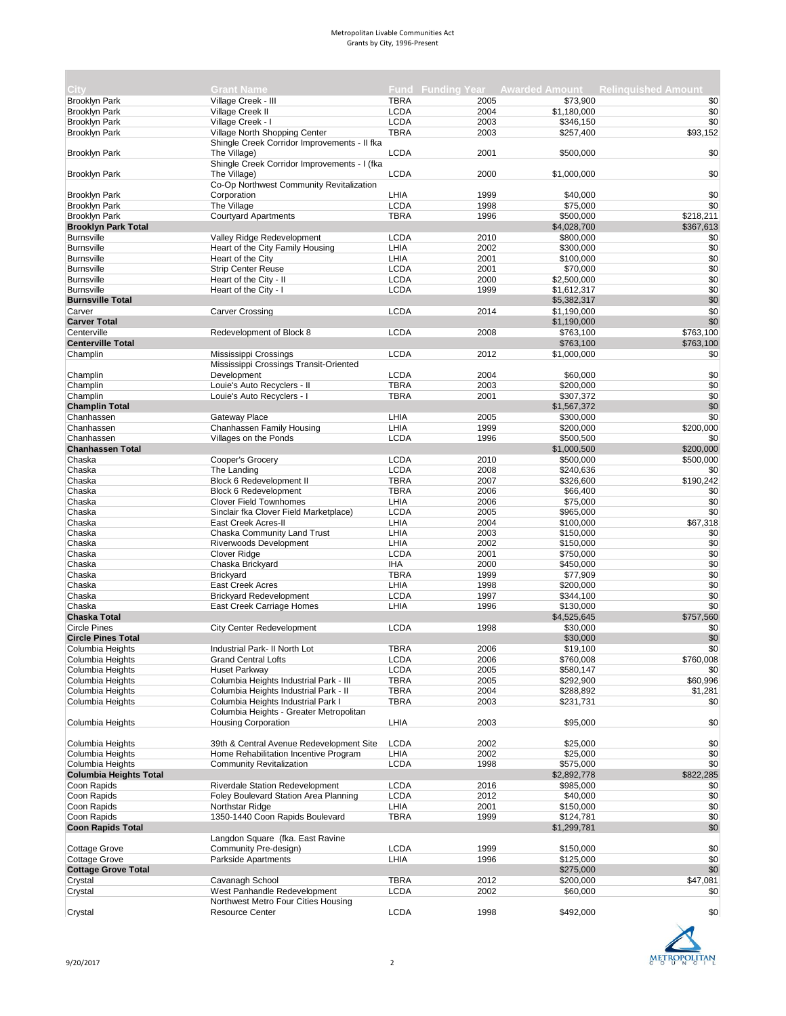| City                          | <b>Grant Name</b>                            |             |      |             | <b>Fund Funding Year Awarded Amount Relinguished Amount</b> |
|-------------------------------|----------------------------------------------|-------------|------|-------------|-------------------------------------------------------------|
| <b>Brooklyn Park</b>          | Village Creek - III                          | <b>TBRA</b> | 2005 | \$73.900    | \$0                                                         |
|                               |                                              |             |      |             |                                                             |
| <b>Brooklyn Park</b>          | Village Creek II                             | <b>LCDA</b> | 2004 | \$1,180,000 | \$0                                                         |
| <b>Brooklyn Park</b>          | Village Creek - I                            | <b>LCDA</b> | 2003 | \$346,150   | \$0                                                         |
| <b>Brooklyn Park</b>          | Village North Shopping Center                | <b>TBRA</b> | 2003 | \$257,400   | \$93,152                                                    |
|                               | Shingle Creek Corridor Improvements - II fka |             |      |             |                                                             |
| <b>Brooklyn Park</b>          | The Village)                                 | <b>LCDA</b> | 2001 | \$500,000   | \$0                                                         |
|                               | Shingle Creek Corridor Improvements - I (fka |             |      |             |                                                             |
| <b>Brooklyn Park</b>          | The Village)                                 | <b>LCDA</b> | 2000 | \$1,000,000 | \$0                                                         |
|                               | Co-Op Northwest Community Revitalization     |             |      |             |                                                             |
|                               |                                              |             |      |             |                                                             |
| <b>Brooklyn Park</b>          | Corporation                                  | LHIA        | 1999 | \$40,000    | \$0                                                         |
| <b>Brooklyn Park</b>          | The Village                                  | <b>LCDA</b> | 1998 | \$75,000    | \$0                                                         |
| <b>Brooklyn Park</b>          | <b>Courtyard Apartments</b>                  | <b>TBRA</b> | 1996 | \$500,000   | \$218,211                                                   |
| <b>Brooklyn Park Total</b>    |                                              |             |      | \$4,028,700 | \$367,613                                                   |
| <b>Burnsville</b>             | Valley Ridge Redevelopment                   | <b>LCDA</b> | 2010 | \$800,000   | \$0                                                         |
| <b>Burnsville</b>             | Heart of the City Family Housing             | LHIA        | 2002 | \$300,000   | \$0                                                         |
|                               |                                              |             |      |             |                                                             |
| <b>Burnsville</b>             | Heart of the City                            | LHIA        | 2001 | \$100,000   | \$0                                                         |
| <b>Burnsville</b>             | <b>Strip Center Reuse</b>                    | <b>LCDA</b> | 2001 | \$70,000    | \$0                                                         |
| <b>Burnsville</b>             | Heart of the City - II                       | <b>LCDA</b> | 2000 | \$2,500,000 | \$0                                                         |
| <b>Burnsville</b>             | Heart of the City - I                        | <b>LCDA</b> | 1999 | \$1,612,317 | \$0                                                         |
| <b>Burnsville Total</b>       |                                              |             |      | \$5,382,317 | \$0                                                         |
| Carver                        | <b>Carver Crossing</b>                       | <b>LCDA</b> | 2014 | \$1,190,000 | \$0                                                         |
| <b>Carver Total</b>           |                                              |             |      |             | \$0                                                         |
|                               |                                              |             |      | \$1,190,000 |                                                             |
| Centerville                   | Redevelopment of Block 8                     | <b>LCDA</b> | 2008 | \$763,100   | \$763,100                                                   |
| <b>Centerville Total</b>      |                                              |             |      | \$763,100   | \$763,100                                                   |
| Champlin                      | Mississippi Crossings                        | <b>LCDA</b> | 2012 | \$1,000,000 | \$0                                                         |
|                               | Mississippi Crossings Transit-Oriented       |             |      |             |                                                             |
| Champlin                      | Development                                  | <b>LCDA</b> | 2004 | \$60,000    | \$0                                                         |
|                               |                                              |             |      |             |                                                             |
| Champlin                      | Louie's Auto Recyclers - II                  | <b>TBRA</b> | 2003 | \$200,000   | \$0                                                         |
| Champlin                      | Louie's Auto Recyclers - I                   | <b>TBRA</b> | 2001 | \$307,372   | \$0                                                         |
| <b>Champlin Total</b>         |                                              |             |      | \$1,567,372 | \$0                                                         |
| Chanhassen                    | Gateway Place                                | LHIA        | 2005 | \$300,000   | \$0                                                         |
| Chanhassen                    | Chanhassen Family Housing                    | LHIA        | 1999 | \$200,000   | \$200,000                                                   |
| Chanhassen                    | Villages on the Ponds                        | <b>LCDA</b> | 1996 | \$500,500   | \$0                                                         |
|                               |                                              |             |      |             |                                                             |
| <b>Chanhassen Total</b>       |                                              |             |      | \$1,000,500 | \$200,000                                                   |
| Chaska                        | Cooper's Grocery                             | <b>LCDA</b> | 2010 | \$500,000   | \$500,000                                                   |
| Chaska                        | The Landing                                  | <b>LCDA</b> | 2008 | \$240,636   | \$0                                                         |
| Chaska                        | Block 6 Redevelopment II                     | <b>TBRA</b> | 2007 | \$326,600   | \$190,242                                                   |
| Chaska                        | <b>Block 6 Redevelopment</b>                 | <b>TBRA</b> | 2006 | \$66,400    | \$0                                                         |
| Chaska                        | <b>Clover Field Townhomes</b>                | LHIA        | 2006 | \$75,000    | \$0                                                         |
|                               |                                              |             |      |             |                                                             |
| Chaska                        | Sinclair fka Clover Field Marketplace)       | <b>LCDA</b> | 2005 | \$965,000   | \$0                                                         |
| Chaska                        | East Creek Acres-II                          | LHIA        | 2004 | \$100,000   | \$67,318                                                    |
| Chaska                        | Chaska Community Land Trust                  | LHIA        | 2003 | \$150,000   | \$0                                                         |
| Chaska                        | <b>Riverwoods Development</b>                | LHIA        | 2002 | \$150,000   | \$0                                                         |
| Chaska                        | Clover Ridge                                 | <b>LCDA</b> | 2001 | \$750,000   | \$0                                                         |
|                               |                                              |             |      |             |                                                             |
| Chaska                        | Chaska Brickyard                             | <b>IHA</b>  | 2000 | \$450,000   | \$0                                                         |
| Chaska                        | <b>Brickyard</b>                             | <b>TBRA</b> | 1999 | \$77,909    | \$0                                                         |
| Chaska                        | East Creek Acres                             | LHIA        | 1998 | \$200,000   | \$0                                                         |
| Chaska                        | <b>Brickyard Redevelopment</b>               | <b>LCDA</b> | 1997 | \$344,100   | \$0                                                         |
| Chaska                        | East Creek Carriage Homes                    | LHIA        | 1996 | \$130,000   | \$0                                                         |
| <b>Chaska Total</b>           |                                              |             |      | \$4,525,645 | \$757,560                                                   |
| <b>Circle Pines</b>           | <b>City Center Redevelopment</b>             | <b>LCDA</b> | 1998 |             | \$0                                                         |
|                               |                                              |             |      | \$30,000    |                                                             |
| <b>Circle Pines Total</b>     |                                              |             |      | \$30,000    | \$0                                                         |
| Columbia Heights              | Industrial Park- II North Lot                | <b>TBRA</b> | 2006 | \$19,100    | \$0                                                         |
| Columbia Heights              | Grand Central Lofts                          | LCDA        | 2006 | \$760,008   | \$760,008                                                   |
| Columbia Heights              | Huset Parkway                                | <b>LCDA</b> | 2005 | \$580,147   | \$0                                                         |
| Columbia Heights              | Columbia Heights Industrial Park - III       | <b>TBRA</b> | 2005 | \$292,900   | \$60,996                                                    |
| Columbia Heights              | Columbia Heights Industrial Park - II        | <b>TBRA</b> | 2004 | \$288,892   | \$1,281                                                     |
|                               |                                              |             |      |             |                                                             |
| Columbia Heights              | Columbia Heights Industrial Park I           | <b>TBRA</b> | 2003 | \$231,731   | \$0                                                         |
|                               | Columbia Heights - Greater Metropolitan      |             |      |             |                                                             |
| Columbia Heights              | <b>Housing Corporation</b>                   | LHIA        | 2003 | \$95,000    | \$0                                                         |
|                               |                                              |             |      |             |                                                             |
| Columbia Heights              | 39th & Central Avenue Redevelopment Site     | <b>LCDA</b> | 2002 | \$25,000    | \$0                                                         |
| Columbia Heights              | Home Rehabilitation Incentive Program        | LHIA        | 2002 | \$25,000    | \$0                                                         |
|                               |                                              |             |      |             |                                                             |
| Columbia Heights              | <b>Community Revitalization</b>              | <b>LCDA</b> | 1998 | \$575,000   | \$0                                                         |
| <b>Columbia Heights Total</b> |                                              |             |      | \$2,892,778 | \$822,285                                                   |
| Coon Rapids                   | <b>Riverdale Station Redevelopment</b>       | <b>LCDA</b> | 2016 | \$985,000   | \$0                                                         |
| Coon Rapids                   | Foley Boulevard Station Area Planning        | <b>LCDA</b> | 2012 | \$40,000    | \$0                                                         |
| Coon Rapids                   | Northstar Ridge                              | LHIA        | 2001 | \$150,000   | \$0                                                         |
| Coon Rapids                   | 1350-1440 Coon Rapids Boulevard              | <b>TBRA</b> | 1999 |             | \$0                                                         |
|                               |                                              |             |      | \$124,781   |                                                             |
| <b>Coon Rapids Total</b>      |                                              |             |      | \$1,299,781 | \$0                                                         |
|                               | Langdon Square (fka. East Ravine             |             |      |             |                                                             |
| <b>Cottage Grove</b>          | Community Pre-design)                        | <b>LCDA</b> | 1999 | \$150,000   | \$0                                                         |
| <b>Cottage Grove</b>          | Parkside Apartments                          | LHIA        | 1996 | \$125,000   | \$0                                                         |
| <b>Cottage Grove Total</b>    |                                              |             |      | \$275,000   | \$0                                                         |
|                               |                                              |             |      |             |                                                             |
| Crystal                       | Cavanagh School                              | <b>TBRA</b> | 2012 | \$200,000   | \$47,081                                                    |
| Crystal                       | West Panhandle Redevelopment                 | <b>LCDA</b> | 2002 | \$60,000    | \$0                                                         |
|                               | Northwest Metro Four Cities Housing          |             |      |             |                                                             |
| Crystal                       | <b>Resource Center</b>                       | <b>LCDA</b> | 1998 | \$492,000   | \$0                                                         |
|                               |                                              |             |      |             |                                                             |

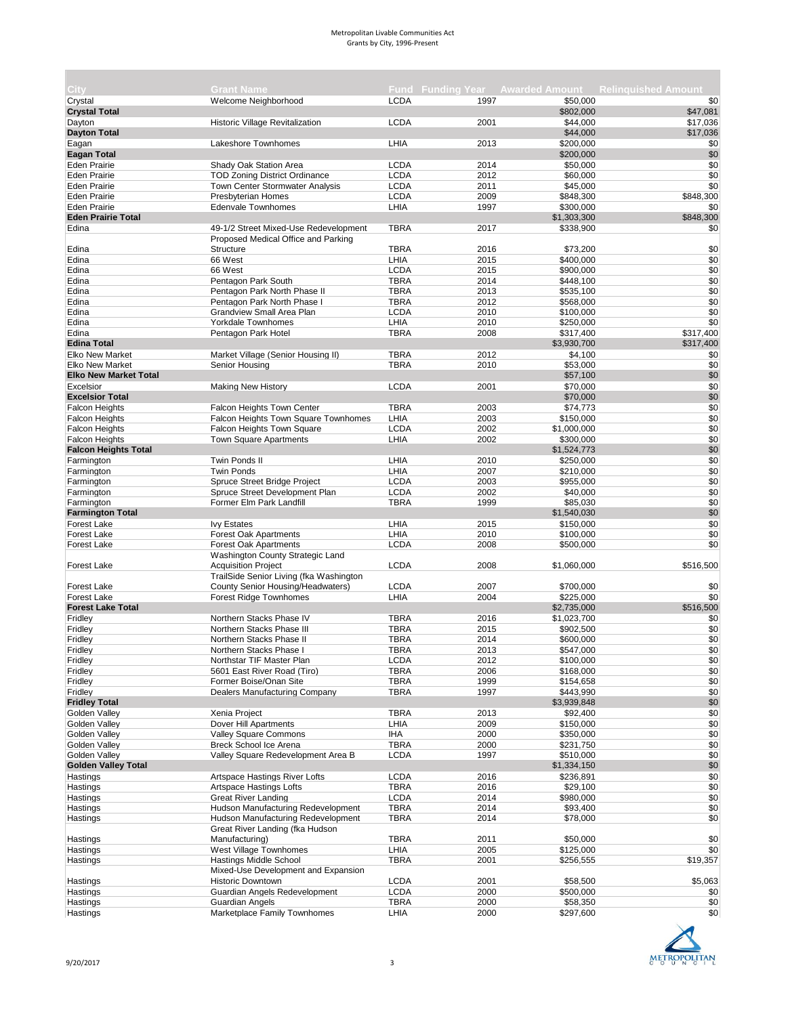| City:                          | <b>Grant Name</b>                                              |                            |              |                        | Fund Funding Year Awarded Amount Relinguished Amount |
|--------------------------------|----------------------------------------------------------------|----------------------------|--------------|------------------------|------------------------------------------------------|
| Crystal                        | Welcome Neighborhood                                           | <b>LCDA</b>                | 1997         | \$50,000               | \$0                                                  |
| <b>Crystal Total</b>           |                                                                |                            |              | \$802,000              | \$47,081                                             |
| Dayton                         | <b>Historic Village Revitalization</b>                         | <b>LCDA</b>                | 2001         | \$44,000               | \$17,036                                             |
| <b>Dayton Total</b>            |                                                                |                            |              | \$44,000               | \$17,036                                             |
| Eagan                          | Lakeshore Townhomes                                            | LHIA                       | 2013         | \$200,000              | \$0                                                  |
| <b>Eagan Total</b>             |                                                                |                            |              | \$200,000              | \$0                                                  |
| <b>Eden Prairie</b>            | Shady Oak Station Area                                         | <b>LCDA</b>                | 2014         | \$50,000               | \$0                                                  |
| <b>Eden Prairie</b>            | <b>TOD Zoning District Ordinance</b>                           | <b>LCDA</b>                | 2012         | \$60,000               | \$0                                                  |
| <b>Eden Prairie</b>            | Town Center Stormwater Analysis                                | <b>LCDA</b>                | 2011         | \$45,000               | \$0                                                  |
| <b>Eden Prairie</b>            | <b>Presbyterian Homes</b>                                      | <b>LCDA</b>                | 2009         | \$848,300              | \$848,300                                            |
| <b>Eden Prairie</b>            | Edenvale Townhomes                                             | LHIA                       | 1997         | \$300,000              | \$0                                                  |
| <b>Eden Prairie Total</b>      |                                                                |                            |              | \$1,303,300            | \$848,300                                            |
| Edina                          | 49-1/2 Street Mixed-Use Redevelopment                          | <b>TBRA</b>                | 2017         | \$338,900              | \$0                                                  |
|                                | Proposed Medical Office and Parking                            |                            |              |                        |                                                      |
| Edina<br>Edina                 | <b>Structure</b><br>66 West                                    | <b>TBRA</b><br>LHIA        | 2016<br>2015 | \$73,200<br>\$400,000  | \$0<br>\$0                                           |
| Edina                          | 66 West                                                        | <b>LCDA</b>                | 2015         | \$900,000              | \$0                                                  |
| Edina                          | Pentagon Park South                                            | <b>TBRA</b>                | 2014         | \$448,100              | \$0                                                  |
| Edina                          | Pentagon Park North Phase II                                   | <b>TBRA</b>                | 2013         | \$535,100              | \$0                                                  |
| Edina                          | Pentagon Park North Phase I                                    | <b>TBRA</b>                | 2012         | \$568,000              | \$0                                                  |
| Edina                          | Grandview Small Area Plan                                      | <b>LCDA</b>                | 2010         | \$100,000              | \$0                                                  |
| Edina                          | Yorkdale Townhomes                                             | LHIA                       | 2010         | \$250,000              | \$0                                                  |
| Edina                          | Pentagon Park Hotel                                            | <b>TBRA</b>                | 2008         | \$317,400              | \$317,400                                            |
| <b>Edina Total</b>             |                                                                |                            |              | \$3,930,700            | \$317,400                                            |
| <b>Elko New Market</b>         | Market Village (Senior Housing II)                             | <b>TBRA</b>                | 2012         | \$4,100                | \$0                                                  |
| <b>Elko New Market</b>         | Senior Housing                                                 | <b>TBRA</b>                | 2010         | \$53,000               | \$0                                                  |
| <b>Elko New Market Total</b>   |                                                                |                            |              | \$57,100               | \$0                                                  |
| Excelsior                      | <b>Making New History</b>                                      | <b>LCDA</b>                | 2001         | \$70,000               | \$0                                                  |
| <b>Excelsior Total</b>         |                                                                |                            |              | \$70,000               | \$0                                                  |
| <b>Falcon Heights</b>          | Falcon Heights Town Center                                     | <b>TBRA</b>                | 2003         | \$74.773               | \$0                                                  |
| <b>Falcon Heights</b>          | Falcon Heights Town Square Townhomes                           | LHIA                       | 2003         | \$150,000              | \$0                                                  |
| <b>Falcon Heights</b>          | Falcon Heights Town Square                                     | <b>LCDA</b>                | 2002         | \$1,000,000            | \$0                                                  |
| <b>Falcon Heights</b>          | Town Square Apartments                                         | LHIA                       | 2002         | \$300,000              | \$0                                                  |
| <b>Falcon Heights Total</b>    |                                                                |                            |              | \$1,524,773            | \$0                                                  |
| Farmington                     | Twin Ponds II                                                  | LHIA                       | 2010         | \$250,000              | \$0                                                  |
| Farmington                     | <b>Twin Ponds</b>                                              | LHIA                       | 2007         | \$210,000              | \$0<br>\$0                                           |
| Farmington                     | Spruce Street Bridge Project<br>Spruce Street Development Plan | <b>LCDA</b><br><b>LCDA</b> | 2003<br>2002 | \$955,000<br>\$40,000  | \$0                                                  |
| Farmington<br>Farmington       | Former Elm Park Landfill                                       | <b>TBRA</b>                | 1999         | \$85,030               | \$0                                                  |
| <b>Farmington Total</b>        |                                                                |                            |              | \$1,540,030            | \$0                                                  |
| <b>Forest Lake</b>             | <b>Ivy Estates</b>                                             | LHIA                       | 2015         | \$150,000              | \$0                                                  |
| <b>Forest Lake</b>             | <b>Forest Oak Apartments</b>                                   | LHIA                       | 2010         | \$100,000              | \$0                                                  |
| <b>Forest Lake</b>             | <b>Forest Oak Apartments</b>                                   | <b>LCDA</b>                | 2008         | \$500,000              | \$0                                                  |
| <b>Forest Lake</b>             | Washington County Strategic Land<br><b>Acquisition Project</b> | <b>LCDA</b>                | 2008         | \$1,060,000            | \$516,500                                            |
|                                | TrailSide Senior Living (fka Washington                        |                            |              |                        |                                                      |
| <b>Forest Lake</b>             | County Senior Housing/Headwaters)                              | <b>LCDA</b>                | 2007         | \$700,000              | \$0                                                  |
| <b>Forest Lake</b>             | <b>Forest Ridge Townhomes</b>                                  | LHIA                       | 2004         | \$225,000              | \$0                                                  |
| <b>Forest Lake Total</b>       |                                                                |                            |              | \$2,735,000            | \$516,500                                            |
| Fridley                        | Northern Stacks Phase IV                                       | <b>TBRA</b>                | 2016         | \$1,023,700            | \$0                                                  |
| Fridley                        | Northern Stacks Phase III                                      | <b>TBRA</b>                | 2015         | \$902,500              | \$0                                                  |
| Fridley                        | Northern Stacks Phase II                                       | <b>TBRA</b>                | 2014         | \$600,000              | \$0                                                  |
| Fridley                        | Northern Stacks Phase I                                        | <b>TBRA</b>                | 2013         | \$547,000              | \$0                                                  |
| Fridley                        | Northstar TIF Master Plan                                      | <b>LCDA</b>                | 2012         | \$100,000              | \$0                                                  |
| Fridley                        | 5601 East River Road (Tiro)                                    | <b>TBRA</b>                | 2006         | \$168,000              | \$0                                                  |
| Fridley                        | Former Boise/Onan Site                                         | <b>TBRA</b>                | 1999         | \$154,658              | \$0                                                  |
| Fridley                        | Dealers Manufacturing Company                                  | <b>TBRA</b>                | 1997         | \$443,990              | \$0                                                  |
| <b>Fridley Total</b>           |                                                                |                            |              | \$3,939,848            | \$0                                                  |
| Golden Valley<br>Golden Valley | Xenia Project<br>Dover Hill Apartments                         | <b>TBRA</b><br>LHIA        | 2013         | \$92,400               | \$0                                                  |
| Golden Valley                  | Valley Square Commons                                          | IHA                        | 2009<br>2000 | \$150,000<br>\$350,000 | \$0<br>\$0                                           |
| Golden Vallev                  | Breck School Ice Arena                                         | <b>TBRA</b>                | 2000         |                        | \$0                                                  |
| <b>Golden Valley</b>           | Valley Square Redevelopment Area B                             | <b>LCDA</b>                | 1997         | \$231,750<br>\$510,000 | \$0                                                  |
| <b>Golden Valley Total</b>     |                                                                |                            |              | \$1,334,150            | \$0                                                  |
| Hastings                       | Artspace Hastings River Lofts                                  | <b>LCDA</b>                | 2016         | \$236,891              | \$0                                                  |
| Hastings                       | <b>Artspace Hastings Lofts</b>                                 | <b>TBRA</b>                | 2016         | \$29,100               | \$0                                                  |
| Hastings                       | <b>Great River Landing</b>                                     | <b>LCDA</b>                | 2014         | \$980,000              | \$0                                                  |
| Hastings                       | Hudson Manufacturing Redevelopment                             | <b>TBRA</b>                | 2014         | \$93,400               | \$0                                                  |
| Hastings                       | Hudson Manufacturing Redevelopment                             | <b>TBRA</b>                | 2014         | \$78,000               | \$0                                                  |
|                                | Great River Landing (fka Hudson                                |                            |              |                        |                                                      |
| Hastings                       | Manufacturing)                                                 | <b>TBRA</b>                | 2011         | \$50,000               | \$0                                                  |
| Hastings                       | West Village Townhomes                                         | LHIA                       | 2005         | \$125,000              | \$0                                                  |
| Hastings                       | <b>Hastings Middle School</b>                                  | <b>TBRA</b>                | 2001         | \$256,555              | \$19,357                                             |
|                                | Mixed-Use Development and Expansion                            |                            |              |                        |                                                      |
| Hastings                       | <b>Historic Downtown</b>                                       | <b>LCDA</b>                | 2001         | \$58,500               | \$5,063                                              |
| Hastings                       | Guardian Angels Redevelopment                                  | <b>LCDA</b>                | 2000         | \$500,000              | \$0                                                  |
| Hastings                       | <b>Guardian Angels</b>                                         | <b>TBRA</b>                | 2000         | \$58,350               | \$0                                                  |
| Hastings                       | Marketplace Family Townhomes                                   | LHIA                       | 2000         | \$297,600              | \$0                                                  |

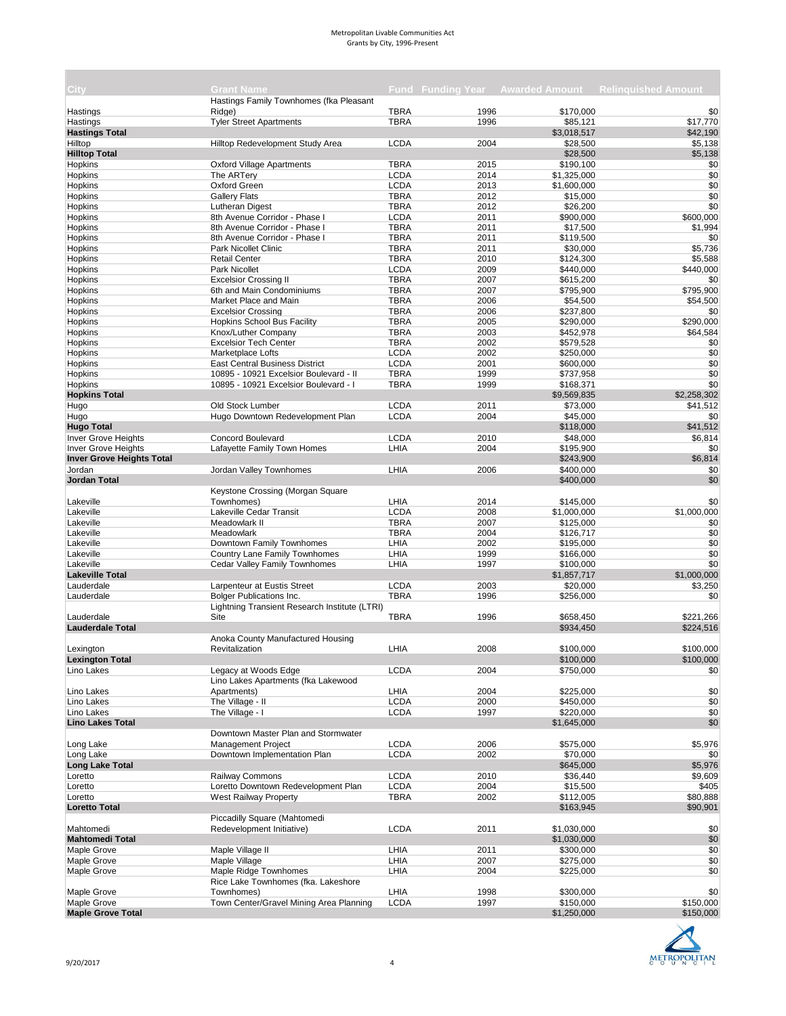| City.                            | <b>Grant Name</b>                             |             |      |             | Fund Funding Year Awarded Amount Relinguished Amount |
|----------------------------------|-----------------------------------------------|-------------|------|-------------|------------------------------------------------------|
|                                  | Hastings Family Townhomes (fka Pleasant       |             |      |             |                                                      |
| Hastings                         | Ridge)                                        | <b>TBRA</b> | 1996 | \$170,000   | \$0                                                  |
| Hastings                         | <b>Tyler Street Apartments</b>                | <b>TBRA</b> | 1996 | \$85,121    | \$17,770                                             |
| <b>Hastings Total</b>            |                                               |             |      | \$3,018,517 | \$42,190                                             |
| Hilltop                          | Hilltop Redevelopment Study Area              | <b>LCDA</b> | 2004 | \$28,500    | \$5,138                                              |
| <b>Hilltop Total</b>             |                                               |             |      | \$28,500    | \$5,138                                              |
| Hopkins                          | <b>Oxford Village Apartments</b>              | <b>TBRA</b> | 2015 | \$190,100   | \$0                                                  |
| Hopkins                          | The ARTery                                    | <b>LCDA</b> | 2014 | \$1,325,000 | \$0                                                  |
| Hopkins                          | Oxford Green                                  | <b>LCDA</b> | 2013 | \$1,600,000 | \$0                                                  |
| Hopkins                          | <b>Gallery Flats</b>                          | <b>TBRA</b> | 2012 | \$15,000    | \$0                                                  |
| Hopkins                          | Lutheran Digest                               | <b>TBRA</b> | 2012 | \$26,200    | \$0                                                  |
| Hopkins                          | 8th Avenue Corridor - Phase I                 | <b>LCDA</b> | 2011 | \$900,000   | \$600,000                                            |
| Hopkins                          | 8th Avenue Corridor - Phase I                 | <b>TBRA</b> | 2011 | \$17,500    | \$1,994                                              |
| Hopkins                          | 8th Avenue Corridor - Phase I                 | <b>TBRA</b> | 2011 | \$119,500   | \$0                                                  |
| Hopkins                          | Park Nicollet Clinic                          | <b>TBRA</b> | 2011 | \$30,000    | \$5,736                                              |
| Hopkins                          | <b>Retail Center</b>                          | <b>TBRA</b> | 2010 | \$124,300   | \$5,588                                              |
| Hopkins                          | Park Nicollet                                 | <b>LCDA</b> | 2009 | \$440,000   | \$440,000                                            |
| Hopkins                          | <b>Excelsior Crossing II</b>                  | <b>TBRA</b> | 2007 | \$615,200   | \$0                                                  |
| Hopkins                          | 6th and Main Condominiums                     | <b>TBRA</b> | 2007 | \$795,900   | \$795,900                                            |
| Hopkins                          | Market Place and Main                         | <b>TBRA</b> | 2006 | \$54,500    | \$54,500                                             |
| Hopkins                          | <b>Excelsior Crossing</b>                     | <b>TBRA</b> | 2006 | \$237,800   | \$0                                                  |
| Hopkins                          | <b>Hopkins School Bus Facility</b>            | <b>TBRA</b> | 2005 | \$290,000   | \$290,000                                            |
| Hopkins                          | Knox/Luther Company                           | <b>TBRA</b> | 2003 | \$452,978   | \$64,584                                             |
| Hopkins                          | <b>Excelsior Tech Center</b>                  | <b>TBRA</b> | 2002 | \$579,528   | \$0                                                  |
| Hopkins                          | Marketplace Lofts                             | <b>LCDA</b> | 2002 | \$250,000   | \$0                                                  |
| Hopkins                          | <b>East Central Business District</b>         | <b>LCDA</b> | 2001 | \$600,000   | \$0                                                  |
| Hopkins                          | 10895 - 10921 Excelsior Boulevard - II        | <b>TBRA</b> | 1999 | \$737,958   | \$0                                                  |
| Hopkins                          | 10895 - 10921 Excelsior Boulevard - I         | <b>TBRA</b> | 1999 | \$168,371   | \$0                                                  |
| <b>Hopkins Total</b>             |                                               |             |      | \$9,569,835 | \$2,258,302                                          |
| Hugo                             | Old Stock Lumber                              | <b>LCDA</b> | 2011 | \$73,000    | \$41,512                                             |
| Hugo                             | Hugo Downtown Redevelopment Plan              | <b>LCDA</b> | 2004 | \$45,000    | \$0                                                  |
| <b>Hugo Total</b>                |                                               |             |      | \$118,000   | \$41,512                                             |
|                                  |                                               |             |      |             |                                                      |
| Inver Grove Heights              | <b>Concord Boulevard</b>                      | <b>LCDA</b> | 2010 | \$48,000    | \$6,814                                              |
| <b>Inver Grove Heights</b>       | Lafayette Family Town Homes                   | LHIA        | 2004 | \$195,900   | \$0                                                  |
| <b>Inver Grove Heights Total</b> |                                               |             |      | \$243,900   | \$6,814                                              |
| Jordan                           | Jordan Valley Townhomes                       | LHIA        | 2006 | \$400,000   | \$0                                                  |
| Jordan Total                     |                                               |             |      | \$400,000   | \$0                                                  |
|                                  | Keystone Crossing (Morgan Square              |             |      |             |                                                      |
| Lakeville                        | Townhomes)                                    | LHIA        | 2014 | \$145,000   | \$0                                                  |
| Lakeville                        | Lakeville Cedar Transit                       | <b>LCDA</b> | 2008 | \$1,000,000 | \$1,000,000                                          |
| Lakeville                        | Meadowlark II                                 | <b>TBRA</b> | 2007 | \$125,000   | \$0                                                  |
| Lakeville                        | Meadowlark                                    | <b>TBRA</b> | 2004 | \$126,717   | \$0                                                  |
| Lakeville                        | Downtown Family Townhomes                     | LHIA        | 2002 | \$195,000   | \$0                                                  |
| Lakeville                        | Country Lane Family Townhomes                 | LHIA        | 1999 | \$166,000   | \$0                                                  |
| Lakeville                        | Cedar Valley Family Townhomes                 | LHIA        | 1997 | \$100,000   | \$0                                                  |
| <b>Lakeville Total</b>           |                                               |             |      | \$1,857,717 | \$1,000,000                                          |
| Lauderdale                       | Larpenteur at Eustis Street                   | LCDA        | 2003 | \$20,000    | \$3,250                                              |
| Lauderdale                       | <b>Bolger Publications Inc.</b>               | <b>TBRA</b> | 1996 | \$256,000   | \$0                                                  |
|                                  | Lightning Transient Research Institute (LTRI) |             |      |             |                                                      |
| Lauderdale                       | Site                                          | <b>TBRA</b> | 1996 | \$658,450   | \$221,266                                            |
| <b>Lauderdale Total</b>          |                                               |             |      | \$934,450   | \$224,516                                            |
|                                  | Anoka County Manufactured Housing             |             |      |             |                                                      |
| Lexington                        | Revitalization                                | LHIA        | 2008 | \$100,000   | \$100,000                                            |
| <b>Lexington Total</b>           |                                               |             |      | \$100,000   | \$100,000                                            |
| Lino Lakes                       | Legacy at Woods Edge                          | <b>LCDA</b> | 2004 | \$750,000   | \$0                                                  |
|                                  | Lino Lakes Apartments (fka Lakewood           |             |      |             |                                                      |
| Lino Lakes                       | Apartments)                                   | LHIA        | 2004 | \$225,000   | \$0                                                  |
| Lino Lakes                       | The Village - II                              | <b>LCDA</b> | 2000 | \$450,000   | \$0                                                  |
| Lino Lakes                       | The Village - I                               | <b>LCDA</b> | 1997 | \$220,000   | \$0                                                  |
| <b>Lino Lakes Total</b>          |                                               |             |      |             | \$0                                                  |
|                                  | Downtown Master Plan and Stormwater           |             |      | \$1,645,000 |                                                      |
|                                  |                                               |             |      |             |                                                      |
| Long Lake                        | <b>Management Project</b>                     | <b>LCDA</b> | 2006 | \$575,000   | \$5,976                                              |
| Long Lake                        | Downtown Implementation Plan                  | <b>LCDA</b> | 2002 | \$70,000    | \$0                                                  |
| <b>Long Lake Total</b>           |                                               |             |      | \$645,000   | \$5,976                                              |
| Loretto                          | Railway Commons                               | <b>LCDA</b> | 2010 | \$36,440    | \$9,609                                              |
| Loretto                          | Loretto Downtown Redevelopment Plan           | <b>LCDA</b> | 2004 | \$15,500    | \$405                                                |
| Loretto                          | West Railway Property                         | TBRA        | 2002 | \$112,005   | \$80,888                                             |
| <b>Loretto Total</b>             |                                               |             |      | \$163,945   | \$90,901                                             |
|                                  | Piccadilly Square (Mahtomedi                  |             |      |             |                                                      |
| Mahtomedi                        | Redevelopment Initiative)                     | <b>LCDA</b> | 2011 | \$1,030,000 | \$0                                                  |
| <b>Mahtomedi Total</b>           |                                               |             |      | \$1,030,000 | \$0                                                  |
| Maple Grove                      | Maple Village II                              | LHIA        | 2011 | \$300,000   | \$0                                                  |
| Maple Grove                      | Maple Village                                 | LHIA        | 2007 | \$275,000   | \$0                                                  |
| Maple Grove                      | Maple Ridge Townhomes                         | LHIA        | 2004 | \$225,000   | \$0                                                  |
|                                  | Rice Lake Townhomes (fka. Lakeshore           |             |      |             |                                                      |
| Maple Grove                      | Townhomes)                                    | LHIA        | 1998 | \$300,000   | \$0                                                  |
| Maple Grove                      | Town Center/Gravel Mining Area Planning       | <b>LCDA</b> | 1997 | \$150,000   | \$150,000                                            |
| <b>Maple Grove Total</b>         |                                               |             |      | \$1,250,000 | \$150,000                                            |
|                                  |                                               |             |      |             |                                                      |

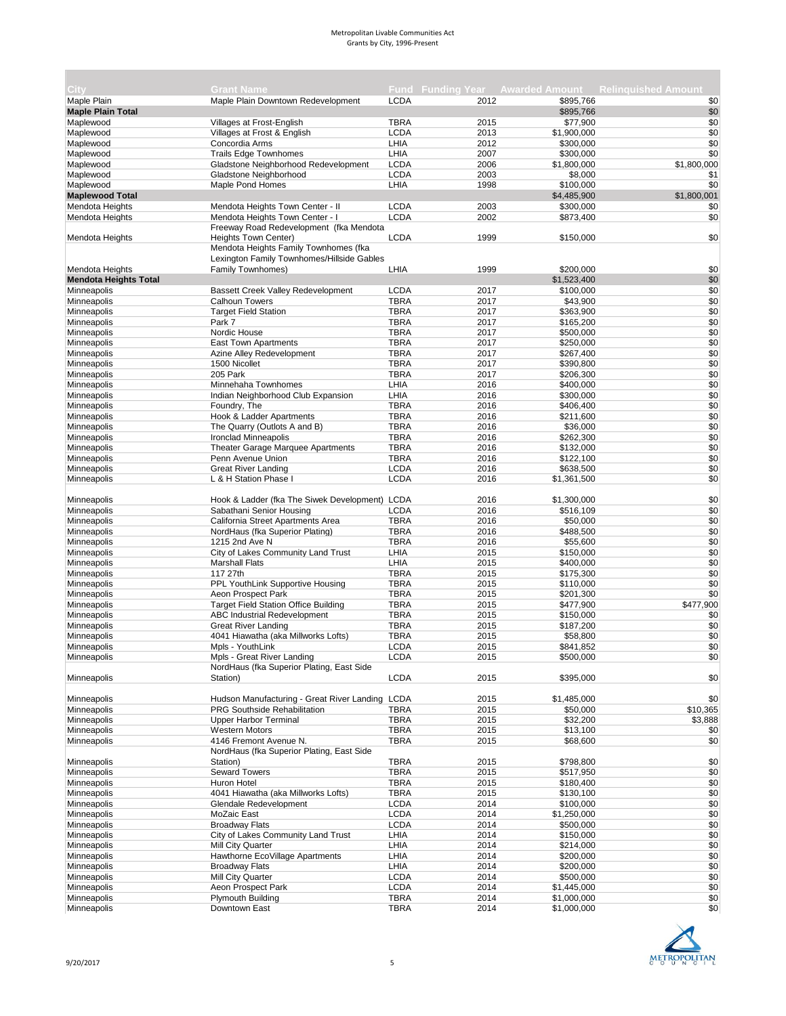|                              |                                                             |             |              |                       | Fund Funding Year Awarded Amount Relinguished Amount |
|------------------------------|-------------------------------------------------------------|-------------|--------------|-----------------------|------------------------------------------------------|
| City<br>Maple Plain          | <b>Grant Name</b><br>Maple Plain Downtown Redevelopment     | <b>LCDA</b> | 2012         | \$895,766             | \$0                                                  |
| <b>Maple Plain Total</b>     |                                                             |             |              | \$895,766             | \$0                                                  |
| Maplewood                    | Villages at Frost-English                                   | <b>TBRA</b> | 2015         | \$77,900              | \$0                                                  |
| Maplewood                    | Villages at Frost & English                                 | <b>LCDA</b> | 2013         | \$1,900,000           | \$0                                                  |
| Maplewood                    | Concordia Arms                                              | LHIA        | 2012         | \$300,000             | \$0                                                  |
| Maplewood                    | <b>Trails Edge Townhomes</b>                                | LHIA        | 2007         | \$300,000             | \$0                                                  |
| Maplewood                    | Gladstone Neighborhood Redevelopment                        | <b>LCDA</b> | 2006         | \$1,800,000           | \$1,800,000                                          |
| Maplewood                    | Gladstone Neighborhood                                      | <b>LCDA</b> | 2003         | \$8,000               | \$1                                                  |
| Maplewood                    | Maple Pond Homes                                            | LHIA        | 1998         | \$100,000             | \$0                                                  |
| <b>Maplewood Total</b>       |                                                             |             |              | \$4,485,900           | \$1,800,001                                          |
| Mendota Heights              | Mendota Heights Town Center - II                            | <b>LCDA</b> | 2003         | \$300,000             | \$0                                                  |
| <b>Mendota Heights</b>       | Mendota Heights Town Center - I                             | <b>LCDA</b> | 2002         | \$873,400             | \$0                                                  |
|                              | Freeway Road Redevelopment (fka Mendota                     |             |              |                       |                                                      |
| Mendota Heights              | Heights Town Center)                                        | <b>LCDA</b> | 1999         | \$150,000             | \$0                                                  |
|                              | Mendota Heights Family Townhomes (fka                       |             |              |                       |                                                      |
|                              | Lexington Family Townhomes/Hillside Gables                  |             |              |                       |                                                      |
| Mendota Heights              | Family Townhomes)                                           | LHIA        | 1999         | \$200,000             | \$0                                                  |
| <b>Mendota Heights Total</b> |                                                             |             |              | \$1,523,400           | \$0                                                  |
| Minneapolis                  |                                                             | <b>LCDA</b> |              |                       |                                                      |
|                              | <b>Bassett Creek Valley Redevelopment</b><br>Calhoun Towers | <b>TBRA</b> | 2017<br>2017 | \$100,000<br>\$43,900 | \$0<br>\$0                                           |
| Minneapolis                  |                                                             | <b>TBRA</b> | 2017         | \$363,900             | \$0                                                  |
| Minneapolis                  | <b>Target Field Station</b>                                 |             |              |                       |                                                      |
| Minneapolis                  | Park 7                                                      | <b>TBRA</b> | 2017         | \$165,200             | \$0                                                  |
| Minneapolis                  | Nordic House                                                | <b>TBRA</b> | 2017         | \$500,000             | \$0                                                  |
| Minneapolis                  | <b>East Town Apartments</b>                                 | <b>TBRA</b> | 2017         | \$250,000             | \$0                                                  |
| Minneapolis                  | Azine Alley Redevelopment                                   | <b>TBRA</b> | 2017         | \$267,400             | \$0                                                  |
| Minneapolis                  | 1500 Nicollet                                               | <b>TBRA</b> | 2017         | \$390,800             | \$0                                                  |
| Minneapolis                  | 205 Park                                                    | <b>TBRA</b> | 2017         | \$206,300             | \$0                                                  |
| Minneapolis                  | Minnehaha Townhomes                                         | LHIA        | 2016         | \$400.000             | \$0                                                  |
| Minneapolis                  | Indian Neighborhood Club Expansion                          | LHIA        | 2016         | \$300,000             | \$0                                                  |
| Minneapolis                  | Foundry, The                                                | <b>TBRA</b> | 2016         | \$406,400             | \$0                                                  |
| Minneapolis                  | Hook & Ladder Apartments                                    | <b>TBRA</b> | 2016         | \$211,600             | \$0                                                  |
| Minneapolis                  | The Quarry (Outlots A and B)                                | <b>TBRA</b> | 2016         | \$36,000              | \$0                                                  |
| Minneapolis                  | Ironclad Minneapolis                                        | <b>TBRA</b> | 2016         | \$262,300             | \$0                                                  |
| Minneapolis                  | Theater Garage Marquee Apartments                           | <b>TBRA</b> | 2016         | \$132,000             | \$0                                                  |
| Minneapolis                  | Penn Avenue Union                                           | <b>TBRA</b> | 2016         | \$122,100             | \$0                                                  |
| Minneapolis                  | <b>Great River Landing</b>                                  | <b>LCDA</b> | 2016         | \$638,500             | \$0                                                  |
| Minneapolis                  | L & H Station Phase I                                       | <b>LCDA</b> | 2016         | \$1,361,500           | \$0                                                  |
|                              |                                                             |             |              |                       |                                                      |
| Minneapolis                  | Hook & Ladder (fka The Siwek Development) LCDA              |             | 2016         | \$1,300,000           | \$0                                                  |
| Minneapolis                  | Sabathani Senior Housing                                    | <b>LCDA</b> | 2016         | \$516,109             | \$0                                                  |
| Minneapolis                  | California Street Apartments Area                           | <b>TBRA</b> | 2016         | \$50,000              | \$0                                                  |
| Minneapolis                  | NordHaus (fka Superior Plating)                             | <b>TBRA</b> | 2016         | \$488,500             | \$0                                                  |
| Minneapolis                  | 1215 2nd Ave N                                              | <b>TBRA</b> | 2016         | \$55,600              | \$0                                                  |
| Minneapolis                  | City of Lakes Community Land Trust                          | LHIA        | 2015         | \$150,000             | \$0                                                  |
| Minneapolis                  | <b>Marshall Flats</b>                                       | LHIA        | 2015         | \$400,000             | \$0                                                  |
| Minneapolis                  | 117 27th                                                    | <b>TBRA</b> | 2015         | \$175,300             | \$0                                                  |
| Minneapolis                  | PPL YouthLink Supportive Housing                            | <b>TBRA</b> | 2015         | \$110,000             | \$0                                                  |
| Minneapolis                  | Aeon Prospect Park                                          | <b>TBRA</b> | 2015         | \$201,300             | \$0                                                  |
| Minneapolis                  | <b>Target Field Station Office Building</b>                 | <b>TBRA</b> | 2015         | \$477,900             | \$477,900                                            |
| Minneapolis                  | <b>ABC Industrial Redevelopment</b>                         | <b>TBRA</b> | 2015         | \$150,000             | \$0                                                  |
| Minneapolis                  | <b>Great River Landing</b>                                  | <b>TBRA</b> | 2015         | \$187,200             | \$0                                                  |
| Minneapolis                  | 4041 Hiawatha (aka Millworks Lofts)                         | <b>TBRA</b> | 2015         | \$58,800              | \$0                                                  |
| Minneapolis                  | Mpls - YouthLink                                            | <b>LCDA</b> | 2015         | \$841,852             | \$0                                                  |
| Minneapolis                  | Mpls - Great River Landing                                  | LCDA        | 2015         | \$500,000             | \$0                                                  |
|                              | NordHaus (fka Superior Plating, East Side                   |             |              |                       |                                                      |
| Minneapolis                  | Station)                                                    | <b>LCDA</b> | 2015         | \$395,000             | \$0                                                  |
|                              |                                                             |             |              |                       |                                                      |
| Minneapolis                  | Hudson Manufacturing - Great River Landing LCDA             |             | 2015         | \$1,485,000           | \$0                                                  |
| Minneapolis                  | PRG Southside Rehabilitation                                | <b>TBRA</b> | 2015         | \$50,000              | \$10,365                                             |
| Minneapolis                  | <b>Upper Harbor Terminal</b>                                | <b>TBRA</b> | 2015         | \$32,200              | \$3,888                                              |
| <b>Minneapolis</b>           | <b>Western Motors</b>                                       | <b>TBRA</b> | 2015         | \$13,100              | \$0                                                  |
| Minneapolis                  | 4146 Fremont Avenue N.                                      | <b>TBRA</b> | 2015         | \$68,600              | \$0                                                  |
|                              | NordHaus (fka Superior Plating, East Side                   |             |              |                       |                                                      |
| Minneapolis                  | Station)                                                    | <b>TBRA</b> | 2015         | \$798,800             | \$0                                                  |
| Minneapolis                  | <b>Seward Towers</b>                                        | <b>TBRA</b> | 2015         | \$517,950             | \$0                                                  |
| Minneapolis                  | Huron Hotel                                                 | <b>TBRA</b> | 2015         | \$180,400             | \$0                                                  |
| Minneapolis                  | 4041 Hiawatha (aka Millworks Lofts)                         | <b>TBRA</b> | 2015         | \$130,100             | \$0                                                  |
| Minneapolis                  | Glendale Redevelopment                                      | <b>LCDA</b> | 2014         | \$100,000             | \$0                                                  |
| Minneapolis                  | MoZaic East                                                 | <b>LCDA</b> | 2014         | \$1,250,000           |                                                      |
|                              |                                                             | <b>LCDA</b> |              |                       | \$0                                                  |
| Minneapolis                  | <b>Broadway Flats</b>                                       |             | 2014         | \$500,000             | \$0<br>\$0                                           |
| Minneapolis                  | City of Lakes Community Land Trust                          | LHIA        | 2014         | \$150,000             |                                                      |
| Minneapolis                  | Mill City Quarter                                           | LHIA        | 2014         | \$214,000             | \$0                                                  |
| Minneapolis                  | Hawthorne EcoVillage Apartments                             | LHIA        | 2014         | \$200,000             | \$0                                                  |
| Minneapolis                  | <b>Broadway Flats</b>                                       | LHIA        | 2014         | \$200,000             | \$0                                                  |
| Minneapolis                  | Mill City Quarter                                           | <b>LCDA</b> | 2014         | \$500,000             | \$0                                                  |
| Minneapolis                  | Aeon Prospect Park                                          | <b>LCDA</b> | 2014         | \$1,445,000           | \$0                                                  |
| Minneapolis                  | <b>Plymouth Building</b>                                    | <b>TBRA</b> | 2014         | \$1,000,000           | \$0                                                  |
| Minneapolis                  | Downtown East                                               | <b>TBRA</b> | 2014         | \$1,000,000           | \$0                                                  |



 $\sim$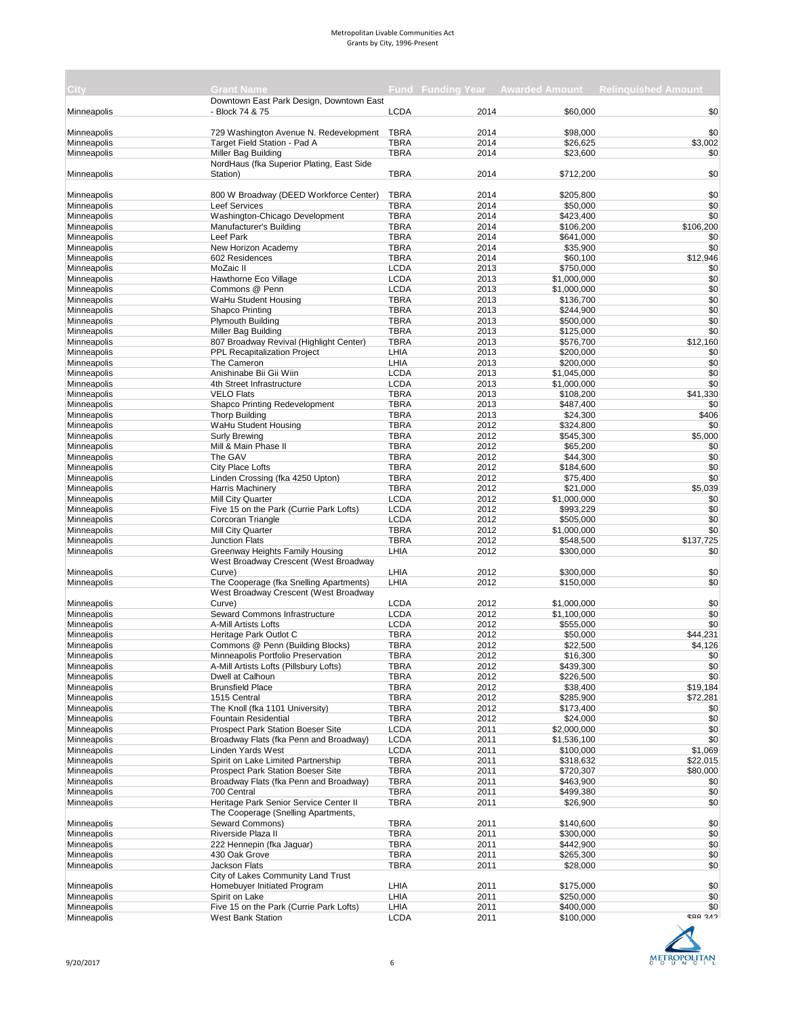| City:       | <b>Grant Name</b>                         |             |      |             | <b>Fund Funding Year Awarded Amount Relinguished Amount</b> |
|-------------|-------------------------------------------|-------------|------|-------------|-------------------------------------------------------------|
|             | Downtown East Park Design, Downtown East  |             |      |             |                                                             |
| Minneapolis | - Block 74 & 75                           | <b>LCDA</b> | 2014 | \$60,000    | \$0                                                         |
|             |                                           |             |      |             |                                                             |
| Minneapolis | 729 Washington Avenue N. Redevelopment    | <b>TBRA</b> | 2014 | \$98,000    | \$0                                                         |
| Minneapolis | Target Field Station - Pad A              | <b>TBRA</b> | 2014 | \$26,625    | \$3,002                                                     |
| Minneapolis | Miller Bag Building                       | <b>TBRA</b> | 2014 | \$23,600    | \$0                                                         |
|             | NordHaus (fka Superior Plating, East Side |             |      |             |                                                             |
| Minneapolis | Station)                                  | <b>TBRA</b> | 2014 | \$712,200   | \$0                                                         |
|             |                                           |             |      |             |                                                             |
| Minneapolis | 800 W Broadway (DEED Workforce Center)    | <b>TBRA</b> | 2014 | \$205,800   | \$0                                                         |
| Minneapolis | <b>Leef Services</b>                      | <b>TBRA</b> | 2014 | \$50,000    | \$0                                                         |
| Minneapolis | Washington-Chicago Development            | <b>TBRA</b> | 2014 | \$423,400   | \$0                                                         |
| Minneapolis | Manufacturer's Building                   | <b>TBRA</b> | 2014 | \$106,200   | \$106,200                                                   |
| Minneapolis | Leef Park                                 | <b>TBRA</b> | 2014 | \$641,000   | \$0                                                         |
| Minneapolis | New Horizon Academy                       | <b>TBRA</b> | 2014 | \$35,900    | \$0                                                         |
| Minneapolis | 602 Residences                            | <b>TBRA</b> | 2014 | \$60,100    | \$12.946                                                    |
| Minneapolis | MoZaic II                                 | <b>LCDA</b> | 2013 | \$750,000   | \$0                                                         |
| Minneapolis | Hawthorne Eco Village                     | <b>LCDA</b> | 2013 | \$1,000,000 | \$0                                                         |
| Minneapolis | Commons @ Penn                            | <b>LCDA</b> | 2013 | \$1,000,000 | \$0                                                         |
| Minneapolis | WaHu Student Housing                      | <b>TBRA</b> | 2013 | \$136,700   | \$0                                                         |
| Minneapolis | Shapco Printing                           | <b>TBRA</b> | 2013 | \$244,900   | \$0                                                         |
| Minneapolis | <b>Plymouth Building</b>                  | <b>TBRA</b> | 2013 | \$500,000   | \$0                                                         |
| Minneapolis | Miller Bag Building                       | <b>TBRA</b> | 2013 | \$125,000   | \$0                                                         |
| Minneapolis | 807 Broadway Revival (Highlight Center)   | <b>TBRA</b> | 2013 | \$576,700   | \$12,160                                                    |
| Minneapolis | PPL Recapitalization Project              | LHIA        | 2013 | \$200,000   | \$0                                                         |
| Minneapolis | The Cameron                               | LHIA        | 2013 | \$200,000   | \$0                                                         |
| Minneapolis | Anishinabe Bii Gii Wiin                   | <b>LCDA</b> | 2013 | \$1,045,000 | \$0                                                         |
| Minneapolis | 4th Street Infrastructure                 | <b>LCDA</b> | 2013 | \$1,000,000 | \$0                                                         |
| Minneapolis | <b>VELO Flats</b>                         | <b>TBRA</b> | 2013 | \$108,200   | \$41,330                                                    |
| Minneapolis | Shapco Printing Redevelopment             | <b>TBRA</b> | 2013 | \$487,400   | \$0                                                         |
| Minneapolis | <b>Thorp Building</b>                     | <b>TBRA</b> | 2013 | \$24,300    | \$406                                                       |
| Minneapolis | WaHu Student Housing                      | <b>TBRA</b> | 2012 | \$324,800   | \$0                                                         |
| Minneapolis | <b>Surly Brewing</b>                      | <b>TBRA</b> | 2012 | \$545,300   | \$5,000                                                     |
| Minneapolis | Mill & Main Phase II                      | <b>TBRA</b> | 2012 | \$65,200    | \$0                                                         |
| Minneapolis | The GAV                                   | <b>TBRA</b> | 2012 | \$44,300    | \$0                                                         |
| Minneapolis | City Place Lofts                          | <b>TBRA</b> | 2012 | \$184,600   | \$0                                                         |
| Minneapolis | Linden Crossing (fka 4250 Upton)          | <b>TBRA</b> | 2012 | \$75,400    | \$0                                                         |
| Minneapolis | <b>Harris Machinery</b>                   | <b>TBRA</b> | 2012 | \$21,000    | \$5,039                                                     |
| Minneapolis | <b>Mill City Quarter</b>                  | <b>LCDA</b> | 2012 | \$1,000,000 | \$0                                                         |
| Minneapolis | Five 15 on the Park (Currie Park Lofts)   | <b>LCDA</b> | 2012 | \$993,229   | \$0                                                         |
| Minneapolis | Corcoran Triangle                         | <b>LCDA</b> | 2012 | \$505,000   | \$0                                                         |
| Minneapolis | Mill City Quarter                         | <b>TBRA</b> | 2012 | \$1,000,000 | \$0                                                         |
| Minneapolis | <b>Junction Flats</b>                     | <b>TBRA</b> | 2012 | \$548,500   | \$137,725                                                   |
| Minneapolis | Greenway Heights Family Housing           | LHIA        | 2012 | \$300,000   | \$0                                                         |
|             | West Broadway Crescent (West Broadway     |             |      |             |                                                             |
| Minneapolis | Curve)                                    | LHIA        | 2012 | \$300,000   | \$0                                                         |
| Minneapolis | The Cooperage (fka Snelling Apartments)   | LHIA        | 2012 | \$150,000   | \$0                                                         |
|             | West Broadway Crescent (West Broadway     |             |      |             |                                                             |
| Minneapolis | Curve)                                    | <b>LCDA</b> | 2012 | \$1,000,000 | \$0                                                         |
| Minneapolis | Seward Commons Infrastructure             | <b>LCDA</b> | 2012 | \$1,100,000 | \$0                                                         |
| Minneapolis | A-Mill Artists Lofts                      | <b>LCDA</b> | 2012 | \$555,000   | \$0                                                         |
| Minneapolis | Heritage Park Outlot C                    | <b>TBRA</b> | 2012 | \$50,000    | \$44,231                                                    |
| Minneapolis | Commons @ Penn (Building Blocks)          | <b>TBRA</b> | 2012 | \$22,500    | \$4,126                                                     |
| Minneapolis | Minneapolis Portfolio Preservation        | TBRA        | 2012 | \$16,300    | \$0                                                         |
| Minneapolis | A-Mill Artists Lofts (Pillsbury Lofts)    | <b>TBRA</b> | 2012 | \$439,300   | \$0                                                         |
| Minneapolis | Dwell at Calhoun                          | <b>TBRA</b> | 2012 | \$226,500   | \$0                                                         |
| Minneapolis | <b>Brunsfield Place</b>                   | <b>TBRA</b> | 2012 | \$38,400    | \$19,184                                                    |
| Minneapolis | 1515 Central                              | <b>TBRA</b> | 2012 | \$285,900   | \$72,281                                                    |
| Minneapolis | The Knoll (fka 1101 University)           | <b>TBRA</b> | 2012 | \$173,400   | \$0                                                         |
| Minneapolis | <b>Fountain Residential</b>               | <b>TBRA</b> | 2012 | \$24,000    | \$0                                                         |
| Minneapolis | <b>Prospect Park Station Boeser Site</b>  | <b>LCDA</b> | 2011 | \$2,000,000 | \$0                                                         |
| Minneapolis | Broadway Flats (fka Penn and Broadway)    | <b>LCDA</b> | 2011 | \$1,536,100 | \$0                                                         |
| Minneapolis | <b>Linden Yards West</b>                  | <b>LCDA</b> | 2011 | \$100,000   | \$1,069                                                     |
| Minneapolis | Spirit on Lake Limited Partnership        | <b>TBRA</b> | 2011 | \$318,632   | \$22,015                                                    |
| Minneapolis | Prospect Park Station Boeser Site         | <b>TBRA</b> | 2011 | \$720,307   | \$80,000                                                    |
| Minneapolis | Broadway Flats (fka Penn and Broadway)    | <b>TBRA</b> | 2011 | \$463,900   | \$0                                                         |
| Minneapolis | 700 Central                               | <b>TBRA</b> | 2011 | \$499,380   | \$0                                                         |
| Minneapolis | Heritage Park Senior Service Center II    | <b>TBRA</b> | 2011 | \$26,900    | \$0                                                         |
|             | The Cooperage (Snelling Apartments,       |             |      |             |                                                             |
| Minneapolis | Seward Commons)                           | <b>TBRA</b> | 2011 | \$140,600   | \$0                                                         |
| Minneapolis | Riverside Plaza II                        | <b>TBRA</b> | 2011 | \$300,000   | \$0                                                         |
| Minneapolis | 222 Hennepin (fka Jaguar)                 | <b>TBRA</b> | 2011 | \$442,900   | \$0                                                         |
| Minneapolis | 430 Oak Grove                             | <b>TBRA</b> | 2011 | \$265,300   | \$0                                                         |
| Minneapolis | Jackson Flats                             | <b>TBRA</b> | 2011 | \$28,000    | \$0                                                         |
|             | City of Lakes Community Land Trust        |             |      |             |                                                             |
| Minneapolis | Homebuyer Initiated Program               | LHIA        | 2011 | \$175,000   | \$0                                                         |
| Minneapolis | Spirit on Lake                            | LHIA        | 2011 | \$250,000   | \$0                                                         |
| Minneapolis | Five 15 on the Park (Currie Park Lofts)   | LHIA        | 2011 | \$400,000   | \$0                                                         |
| Minneapolis | <b>West Bank Station</b>                  | <b>LCDA</b> | 2011 | \$100,000   | <b>CAR 217</b>                                              |
|             |                                           |             |      |             |                                                             |

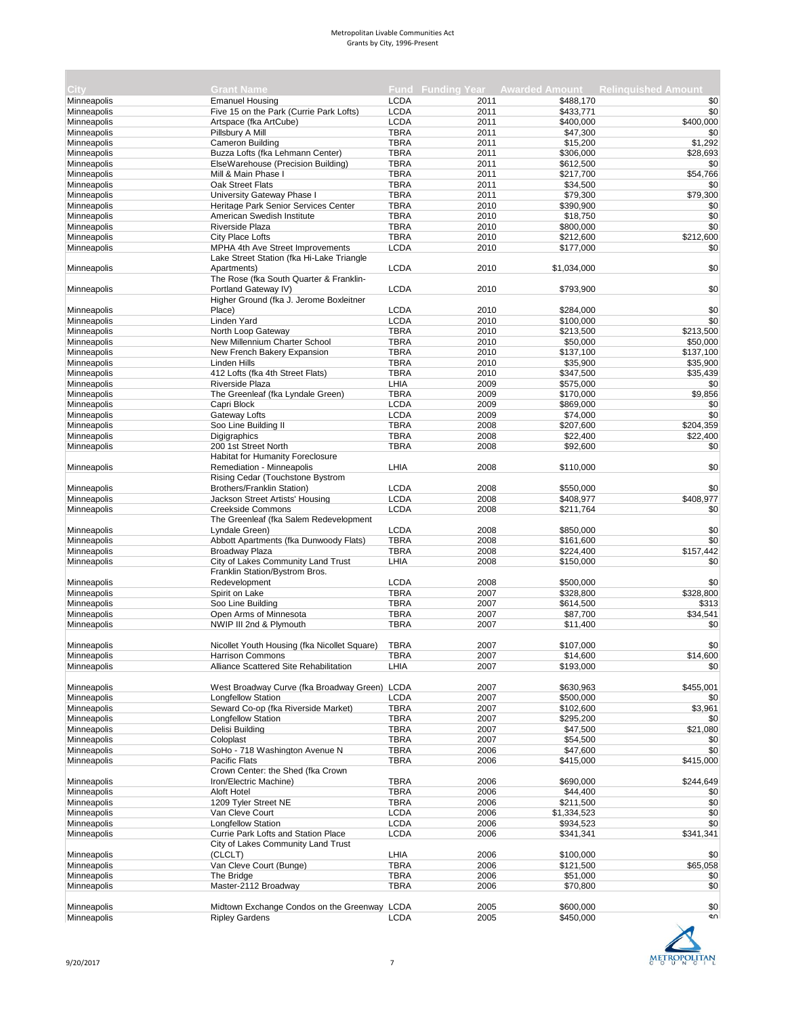| City               | <b>Grant Name</b>                             |             |      |             | Fund Funding Year Awarded Amount Relinquished Amount |
|--------------------|-----------------------------------------------|-------------|------|-------------|------------------------------------------------------|
| Minneapolis        | <b>Emanuel Housing</b>                        | <b>LCDA</b> | 2011 | \$488.170   | \$0                                                  |
| Minneapolis        | Five 15 on the Park (Currie Park Lofts)       | <b>LCDA</b> | 2011 | \$433,771   | \$0                                                  |
| Minneapolis        | Artspace (fka ArtCube)                        | <b>LCDA</b> | 2011 | \$400,000   | \$400,000                                            |
| Minneapolis        | Pillsbury A Mill                              | <b>TBRA</b> | 2011 | \$47,300    | \$0                                                  |
| Minneapolis        | Cameron Building                              | <b>TBRA</b> | 2011 | \$15,200    | \$1,292                                              |
| Minneapolis        | Buzza Lofts (fka Lehmann Center)              | <b>TBRA</b> | 2011 | \$306,000   | \$28,693                                             |
| Minneapolis        | ElseWarehouse (Precision Building)            | <b>TBRA</b> | 2011 | \$612,500   | \$0                                                  |
| Minneapolis        | Mill & Main Phase I                           | <b>TBRA</b> | 2011 | \$217,700   | \$54,766                                             |
| Minneapolis        | Oak Street Flats                              | <b>TBRA</b> | 2011 | \$34,500    | \$0                                                  |
| Minneapolis        | University Gateway Phase I                    | <b>TBRA</b> | 2011 | \$79,300    | \$79,300                                             |
| Minneapolis        | Heritage Park Senior Services Center          | <b>TBRA</b> | 2010 | \$390,900   | \$0                                                  |
| Minneapolis        | American Swedish Institute                    | <b>TBRA</b> | 2010 | \$18,750    | \$0                                                  |
| Minneapolis        | Riverside Plaza                               | <b>TBRA</b> | 2010 | \$800,000   | \$0                                                  |
| Minneapolis        | City Place Lofts                              | <b>TBRA</b> | 2010 | \$212,600   | \$212,600                                            |
| Minneapolis        | MPHA 4th Ave Street Improvements              | <b>LCDA</b> | 2010 | \$177,000   | \$0                                                  |
|                    | Lake Street Station (fka Hi-Lake Triangle     |             |      |             |                                                      |
| Minneapolis        | Apartments)                                   | <b>LCDA</b> | 2010 | \$1,034,000 | \$0                                                  |
|                    | The Rose (fka South Quarter & Franklin-       |             |      |             |                                                      |
| Minneapolis        | Portland Gateway IV)                          | <b>LCDA</b> | 2010 | \$793,900   | \$0                                                  |
|                    | Higher Ground (fka J. Jerome Boxleitner       |             |      |             |                                                      |
| Minneapolis        | Place)                                        | <b>LCDA</b> | 2010 | \$284,000   | \$0                                                  |
| Minneapolis        | Linden Yard                                   | <b>LCDA</b> | 2010 | \$100,000   | \$0                                                  |
| Minneapolis        | North Loop Gateway                            | <b>TBRA</b> | 2010 | \$213,500   | \$213,500                                            |
| Minneapolis        | New Millennium Charter School                 | <b>TBRA</b> | 2010 | \$50,000    | \$50,000                                             |
| Minneapolis        | New French Bakery Expansion                   | <b>TBRA</b> | 2010 | \$137,100   | \$137,100                                            |
| Minneapolis        | <b>Linden Hills</b>                           | <b>TBRA</b> | 2010 | \$35,900    | \$35,900                                             |
| Minneapolis        | 412 Lofts (fka 4th Street Flats)              | <b>TBRA</b> | 2010 | \$347,500   | \$35.439                                             |
| Minneapolis        | Riverside Plaza                               | LHIA        | 2009 | \$575,000   | \$0                                                  |
| Minneapolis        | The Greenleaf (fka Lyndale Green)             | <b>TBRA</b> | 2009 | \$170,000   | \$9,856                                              |
| Minneapolis        | Capri Block                                   | <b>LCDA</b> | 2009 | \$869,000   | \$0                                                  |
| Minneapolis        | Gateway Lofts                                 | <b>LCDA</b> | 2009 | \$74,000    | \$0                                                  |
| Minneapolis        | Soo Line Building II                          | <b>TBRA</b> | 2008 | \$207,600   | \$204,359                                            |
| Minneapolis        | Digigraphics                                  | <b>TBRA</b> | 2008 | \$22,400    | \$22,400                                             |
| <b>Minneapolis</b> | 200 1st Street North                          | <b>TBRA</b> | 2008 | \$92,600    | \$0                                                  |
|                    | <b>Habitat for Humanity Foreclosure</b>       |             |      |             |                                                      |
| Minneapolis        | Remediation - Minneapolis                     | LHIA        | 2008 | \$110,000   | \$0                                                  |
|                    | Rising Cedar (Touchstone Bystrom              |             |      |             |                                                      |
| Minneapolis        | Brothers/Franklin Station)                    | <b>LCDA</b> | 2008 | \$550,000   | \$0                                                  |
| Minneapolis        | Jackson Street Artists' Housing               | <b>LCDA</b> | 2008 | \$408,977   | \$408,977                                            |
| Minneapolis        | <b>Creekside Commons</b>                      | <b>LCDA</b> | 2008 | \$211,764   | \$0                                                  |
|                    | The Greenleaf (fka Salem Redevelopment        |             |      |             |                                                      |
| Minneapolis        | Lyndale Green)                                | <b>LCDA</b> | 2008 | \$850,000   | \$0                                                  |
| Minneapolis        | Abbott Apartments (fka Dunwoody Flats)        | <b>TBRA</b> | 2008 | \$161,600   | \$0                                                  |
| Minneapolis        | <b>Broadway Plaza</b>                         | <b>TBRA</b> | 2008 | \$224,400   | \$157,442                                            |
| Minneapolis        | City of Lakes Community Land Trust            | LHIA        | 2008 | \$150,000   | \$0                                                  |
|                    | Franklin Station/Bystrom Bros.                |             |      |             |                                                      |
| Minneapolis        | Redevelopment                                 | <b>LCDA</b> | 2008 | \$500,000   | \$0                                                  |
| Minneapolis        | Spirit on Lake                                | <b>TBRA</b> | 2007 | \$328,800   | \$328,800                                            |
| Minneapolis        | Soo Line Building                             | <b>TBRA</b> | 2007 | \$614,500   | \$313                                                |
| Minneapolis        | Open Arms of Minnesota                        | <b>TBRA</b> | 2007 | \$87,700    | \$34,541                                             |
| Minneapolis        | NWIP III 2nd & Plymouth                       | <b>TBRA</b> | 2007 | \$11,400    | \$0                                                  |
|                    |                                               |             |      |             |                                                      |
| Minneapolis        | Nicollet Youth Housing (fka Nicollet Square)  | <b>TBRA</b> | 2007 | \$107,000   | \$0                                                  |
| Minneapolis        | Harrison Commons                              | TBRA        | 2007 | \$14,600    | \$14,600                                             |
| Minneapolis        | Alliance Scattered Site Rehabilitation        | LHIA        | 2007 | \$193,000   | \$0                                                  |
|                    |                                               |             |      |             |                                                      |
| Minneapolis        | West Broadway Curve (fka Broadway Green) LCDA |             | 2007 | \$630,963   | \$455,001                                            |
| Minneapolis        | <b>Longfellow Station</b>                     | <b>LCDA</b> | 2007 | \$500,000   | \$0                                                  |
| Minneapolis        | Seward Co-op (fka Riverside Market)           | <b>TBRA</b> | 2007 | \$102,600   | \$3,961                                              |
| Minneapolis        | <b>Longfellow Station</b>                     | <b>TBRA</b> | 2007 | \$295,200   | \$0                                                  |
| Minneapolis        | Delisi Building                               | <b>TBRA</b> | 2007 | \$47,500    | \$21,080                                             |
| Minneapolis        | Coloplast                                     | <b>TBRA</b> | 2007 | \$54,500    | \$0                                                  |
| Minneapolis        | SoHo - 718 Washington Avenue N                | <b>TBRA</b> | 2006 | \$47,600    | \$0                                                  |
| Minneapolis        | Pacific Flats                                 | <b>TBRA</b> | 2006 | \$415,000   | \$415,000                                            |
|                    | Crown Center: the Shed (fka Crown             |             |      |             |                                                      |
| Minneapolis        | Iron/Electric Machine)                        | <b>TBRA</b> | 2006 | \$690,000   | \$244,649                                            |
| Minneapolis        | Aloft Hotel                                   | <b>TBRA</b> | 2006 | \$44,400    | \$0                                                  |
| <b>Minneapolis</b> | 1209 Tyler Street NE                          | <b>TBRA</b> | 2006 | \$211,500   | \$0                                                  |
| Minneapolis        | Van Cleve Court                               | <b>LCDA</b> | 2006 | \$1,334,523 | \$0                                                  |
| Minneapolis        | Longfellow Station                            | <b>LCDA</b> | 2006 | \$934,523   | \$0                                                  |
| Minneapolis        | Currie Park Lofts and Station Place           | <b>LCDA</b> | 2006 | \$341,341   | \$341,341                                            |
|                    | City of Lakes Community Land Trust            |             |      |             |                                                      |
| Minneapolis        | (CLCLT)                                       | LHIA        | 2006 | \$100,000   | \$0                                                  |
| Minneapolis        | Van Cleve Court (Bunge)                       | <b>TBRA</b> | 2006 | \$121,500   | \$65,058                                             |
| Minneapolis        | The Bridge                                    | <b>TBRA</b> | 2006 | \$51,000    | \$0                                                  |
| Minneapolis        | Master-2112 Broadway                          | <b>TBRA</b> | 2006 | \$70,800    | \$0                                                  |
|                    |                                               |             |      |             |                                                      |
| Minneapolis        | Midtown Exchange Condos on the Greenway LCDA  |             | 2005 | \$600,000   | \$0                                                  |
| Minneapolis        | <b>Ripley Gardens</b>                         | <b>LCDA</b> | 2005 | \$450,000   | ¢Λ                                                   |

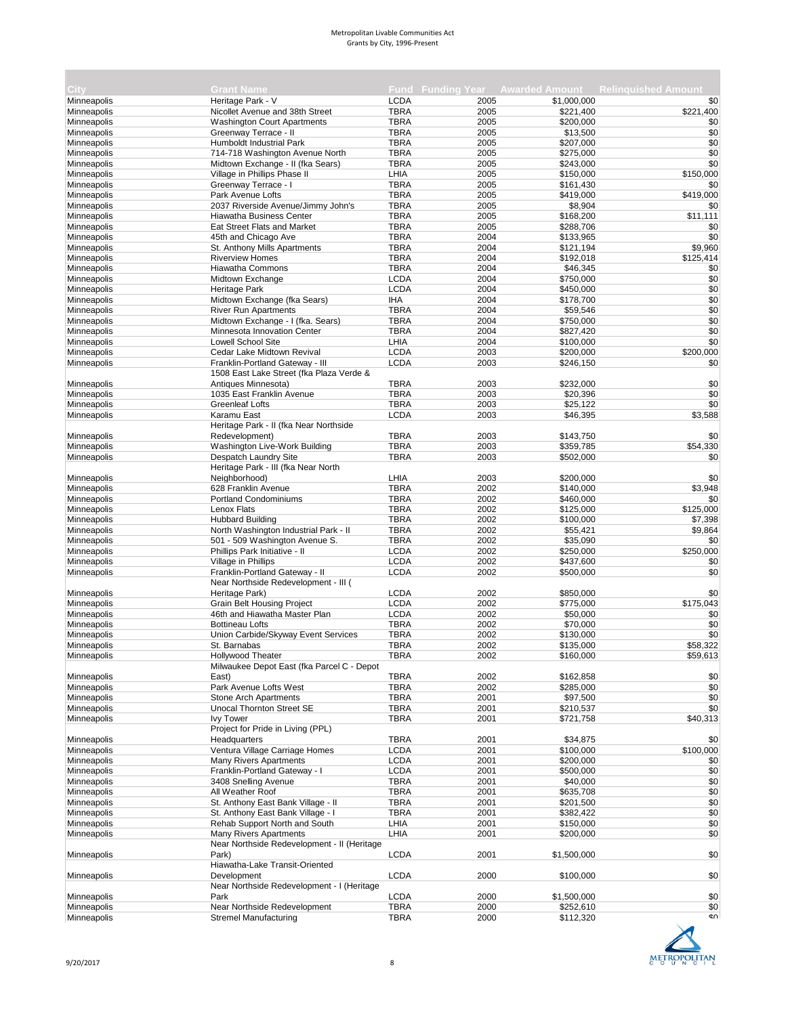| <b>City</b>                |                                             |             |      |             | Fund Funding Year Awarded Amount Relinguished Amount |
|----------------------------|---------------------------------------------|-------------|------|-------------|------------------------------------------------------|
|                            | <b>Grant Name</b><br>Heritage Park - V      | <b>LCDA</b> | 2005 | \$1,000,000 |                                                      |
| Minneapolis<br>Minneapolis | Nicollet Avenue and 38th Street             | <b>TBRA</b> | 2005 | \$221,400   | \$0<br>\$221,400                                     |
| Minneapolis                | <b>Washington Court Apartments</b>          | <b>TBRA</b> | 2005 | \$200,000   | \$0                                                  |
| Minneapolis                | Greenway Terrace - II                       | <b>TBRA</b> | 2005 | \$13,500    | \$0                                                  |
| Minneapolis                | Humboldt Industrial Park                    | <b>TBRA</b> | 2005 | \$207,000   | \$0                                                  |
| Minneapolis                | 714-718 Washington Avenue North             | <b>TBRA</b> | 2005 | \$275,000   | \$0                                                  |
| Minneapolis                | Midtown Exchange - II (fka Sears)           | <b>TBRA</b> | 2005 | \$243,000   | \$0                                                  |
| Minneapolis                | Village in Phillips Phase II                | LHIA        | 2005 | \$150,000   | \$150,000                                            |
| Minneapolis                | Greenway Terrace - I                        | <b>TBRA</b> | 2005 | \$161,430   | \$0                                                  |
| Minneapolis                | Park Avenue Lofts                           | <b>TBRA</b> | 2005 | \$419,000   | \$419,000                                            |
| Minneapolis                | 2037 Riverside Avenue/Jimmy John's          | <b>TBRA</b> | 2005 | \$8,904     | \$0                                                  |
| Minneapolis                | <b>Hiawatha Business Center</b>             | <b>TBRA</b> | 2005 | \$168,200   | \$11,111                                             |
| Minneapolis                | Eat Street Flats and Market                 | <b>TBRA</b> | 2005 | \$288,706   | \$0                                                  |
| Minneapolis                | 45th and Chicago Ave                        | <b>TBRA</b> | 2004 | \$133,965   | \$0                                                  |
| Minneapolis                | St. Anthony Mills Apartments                | <b>TBRA</b> | 2004 | \$121,194   | \$9,960                                              |
| Minneapolis                | <b>Riverview Homes</b>                      | <b>TBRA</b> | 2004 | \$192,018   | \$125,414                                            |
| Minneapolis                | <b>Hiawatha Commons</b>                     | <b>TBRA</b> | 2004 | \$46,345    | \$0                                                  |
| Minneapolis                | Midtown Exchange                            | <b>LCDA</b> | 2004 | \$750,000   | \$0                                                  |
| Minneapolis                | Heritage Park                               | <b>LCDA</b> | 2004 | \$450,000   | \$0                                                  |
| Minneapolis                | Midtown Exchange (fka Sears)                | <b>IHA</b>  | 2004 | \$178,700   | \$0                                                  |
| Minneapolis                | <b>River Run Apartments</b>                 | <b>TBRA</b> | 2004 | \$59,546    | \$0                                                  |
| Minneapolis                | Midtown Exchange - I (fka. Sears)           | <b>TBRA</b> | 2004 | \$750,000   | \$0                                                  |
| Minneapolis                | Minnesota Innovation Center                 | <b>TBRA</b> | 2004 | \$827,420   | \$0                                                  |
| Minneapolis                | <b>Lowell School Site</b>                   | LHIA        | 2004 | \$100,000   | \$0                                                  |
| Minneapolis                | Cedar Lake Midtown Revival                  | <b>LCDA</b> | 2003 | \$200,000   | \$200,000                                            |
| Minneapolis                | Franklin-Portland Gateway - III             | <b>LCDA</b> | 2003 | \$246,150   | \$0                                                  |
|                            | 1508 East Lake Street (fka Plaza Verde &    |             |      |             |                                                      |
| Minneapolis                | Antiques Minnesota)                         | <b>TBRA</b> | 2003 | \$232,000   | \$0                                                  |
| Minneapolis                | 1035 East Franklin Avenue                   | <b>TBRA</b> | 2003 | \$20.396    | \$0                                                  |
| Minneapolis                | <b>Greenleaf Lofts</b>                      | <b>TBRA</b> | 2003 | \$25,122    | \$0                                                  |
| Minneapolis                | Karamu East                                 | <b>LCDA</b> | 2003 | \$46,395    | \$3,588                                              |
|                            | Heritage Park - II (fka Near Northside      |             |      |             |                                                      |
| Minneapolis                | Redevelopment)                              | <b>TBRA</b> | 2003 | \$143,750   | \$0                                                  |
| Minneapolis                | Washington Live-Work Building               | <b>TBRA</b> | 2003 | \$359,785   | \$54,330                                             |
| Minneapolis                | Despatch Laundry Site                       | <b>TBRA</b> | 2003 | \$502,000   | \$0                                                  |
|                            | Heritage Park - III (fka Near North         |             |      |             |                                                      |
| Minneapolis                | Neighborhood)                               | LHIA        | 2003 | \$200,000   | \$0                                                  |
| Minneapolis                | 628 Franklin Avenue                         | <b>TBRA</b> | 2002 | \$140,000   | \$3,948                                              |
| Minneapolis                | Portland Condominiums                       | <b>TBRA</b> | 2002 | \$460,000   | \$0                                                  |
| Minneapolis                | Lenox Flats                                 | <b>TBRA</b> | 2002 | \$125,000   | \$125,000                                            |
| Minneapolis                | <b>Hubbard Building</b>                     | <b>TBRA</b> | 2002 | \$100,000   | \$7,398                                              |
| Minneapolis                | North Washington Industrial Park - II       | <b>TBRA</b> | 2002 | \$55,421    | \$9,864                                              |
| Minneapolis                | 501 - 509 Washington Avenue S.              | <b>TBRA</b> | 2002 | \$35,090    | \$0                                                  |
| Minneapolis                | Phillips Park Initiative - II               | <b>LCDA</b> | 2002 | \$250,000   | \$250,000                                            |
| Minneapolis                | Village in Phillips                         | <b>LCDA</b> | 2002 | \$437,600   | \$0                                                  |
| Minneapolis                | Franklin-Portland Gateway - II              | <b>LCDA</b> | 2002 | \$500,000   | \$0                                                  |
|                            | Near Northside Redevelopment - III (        |             |      |             |                                                      |
| Minneapolis                | Heritage Park)                              | <b>LCDA</b> | 2002 | \$850,000   | \$0                                                  |
| Minneapolis                | <b>Grain Belt Housing Project</b>           | <b>LCDA</b> | 2002 | \$775,000   | \$175,043                                            |
| Minneapolis                | 46th and Hiawatha Master Plan               | <b>LCDA</b> | 2002 | \$50,000    | \$0                                                  |
| Minneapolis                | <b>Bottineau Lofts</b>                      | <b>TBRA</b> | 2002 | \$70,000    | \$0                                                  |
| Minneapolis                | Union Carbide/Skyway Event Services         | <b>TBRA</b> | 2002 | \$130,000   | \$0                                                  |
| Minneapolis                | St. Barnabas                                | <b>TBRA</b> | 2002 | \$135,000   | \$58,322                                             |
|                            | Hollywood Theater                           | <b>TBRA</b> | 2002 | \$160,000   | \$59,613                                             |
| Minneapolis                | Milwaukee Depot East (fka Parcel C - Depot  |             |      |             |                                                      |
| Minneapolis                | East)                                       | <b>TBRA</b> | 2002 | \$162,858   | \$0                                                  |
| Minneapolis                | Park Avenue Lofts West                      | <b>TBRA</b> | 2002 | \$285,000   | \$0                                                  |
| Minneapolis                | Stone Arch Apartments                       | <b>TBRA</b> | 2001 | \$97,500    | \$0                                                  |
| Minneapolis                | Unocal Thornton Street SE                   | <b>TBRA</b> | 2001 | \$210,537   | \$0                                                  |
| Minneapolis                | <b>Ivy Tower</b>                            | <b>TBRA</b> | 2001 | \$721,758   | \$40,313                                             |
|                            | Project for Pride in Living (PPL)           |             |      |             |                                                      |
| Minneapolis                | Headquarters                                | <b>TBRA</b> | 2001 | \$34,875    | \$0                                                  |
| Minneapolis                | Ventura Village Carriage Homes              | <b>LCDA</b> | 2001 | \$100,000   | \$100,000                                            |
| Minneapolis                | <b>Many Rivers Apartments</b>               | <b>LCDA</b> | 2001 | \$200,000   | \$0                                                  |
| Minneapolis                | Franklin-Portland Gateway - I               | <b>LCDA</b> | 2001 | \$500,000   | \$0                                                  |
| Minneapolis                | 3408 Snelling Avenue                        | <b>TBRA</b> | 2001 | \$40,000    | \$0                                                  |
| Minneapolis                | All Weather Roof                            | <b>TBRA</b> | 2001 | \$635,708   | \$0                                                  |
| Minneapolis                | St. Anthony East Bank Village - II          | <b>TBRA</b> | 2001 | \$201,500   | \$0                                                  |
| Minneapolis                | St. Anthony East Bank Village - I           | <b>TBRA</b> | 2001 | \$382,422   | \$0                                                  |
|                            |                                             |             |      |             |                                                      |
| Minneapolis                | Rehab Support North and South               | LHIA        | 2001 | \$150,000   | \$0                                                  |
| Minneapolis                | <b>Many Rivers Apartments</b>               | LHIA        | 2001 | \$200,000   | \$0                                                  |
|                            | Near Northside Redevelopment - II (Heritage |             |      |             |                                                      |
| Minneapolis                | Park)                                       | <b>LCDA</b> | 2001 | \$1,500,000 | \$0                                                  |
|                            | Hiawatha-Lake Transit-Oriented              |             |      |             |                                                      |
| Minneapolis                | Development                                 | <b>LCDA</b> | 2000 | \$100,000   | \$0                                                  |
|                            | Near Northside Redevelopment - I (Heritage  |             |      |             |                                                      |
| Minneapolis                | Park                                        | <b>LCDA</b> | 2000 | \$1,500,000 | \$0                                                  |
| Minneapolis                | Near Northside Redevelopment                | <b>TBRA</b> | 2000 | \$252,610   | \$0                                                  |
| Minneapolis                | <b>Stremel Manufacturing</b>                | TBRA        | 2000 | \$112,320   | ¢∩                                                   |



×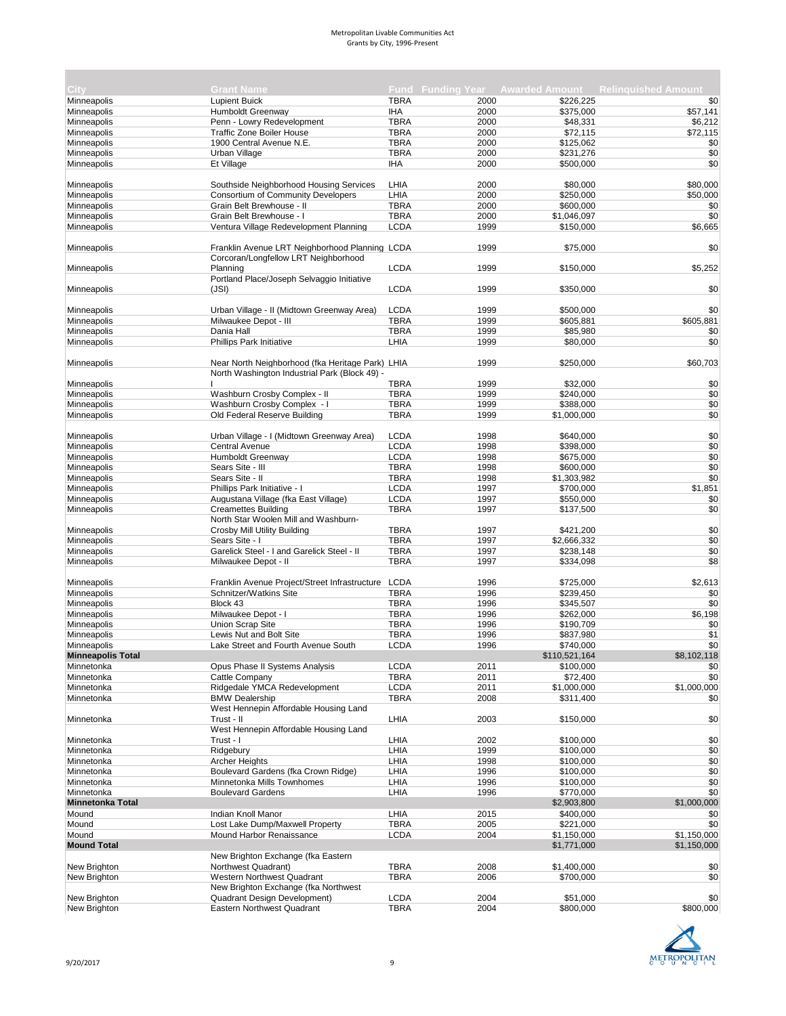| City                     | <b>Grant Name</b>                                  |             |      |               | Fund Funding Year Awarded Amount Relinquished Amount |
|--------------------------|----------------------------------------------------|-------------|------|---------------|------------------------------------------------------|
| Minneapolis              | <b>Lupient Buick</b>                               | <b>TBRA</b> | 2000 | \$226,225     | \$0                                                  |
| Minneapolis              | Humboldt Greenway                                  | <b>IHA</b>  | 2000 | \$375,000     |                                                      |
|                          |                                                    |             |      |               | \$57,141                                             |
| Minneapolis              | Penn - Lowry Redevelopment                         | <b>TBRA</b> | 2000 | \$48,331      | \$6,212                                              |
| Minneapolis              | <b>Traffic Zone Boiler House</b>                   | <b>TBRA</b> | 2000 | \$72,115      | \$72,115                                             |
| Minneapolis              | 1900 Central Avenue N.E.                           | <b>TBRA</b> | 2000 | \$125,062     | \$0                                                  |
| Minneapolis              | Urban Village                                      | <b>TBRA</b> | 2000 | \$231,276     | \$0                                                  |
| Minneapolis              | Et Village                                         | <b>IHA</b>  | 2000 | \$500,000     | \$0                                                  |
|                          |                                                    |             |      |               |                                                      |
| Minneapolis              | Southside Neighborhood Housing Services            | LHIA        | 2000 | \$80,000      | \$80,000                                             |
| Minneapolis              | Consortium of Community Developers                 | LHIA        | 2000 | \$250,000     | \$50,000                                             |
| Minneapolis              | Grain Belt Brewhouse - II                          | <b>TBRA</b> | 2000 | \$600,000     | \$0                                                  |
| Minneapolis              | Grain Belt Brewhouse - I                           | <b>TBRA</b> | 2000 | \$1,046,097   | \$0                                                  |
| Minneapolis              | Ventura Village Redevelopment Planning             | <b>LCDA</b> | 1999 | \$150,000     | \$6,665                                              |
|                          |                                                    |             |      |               |                                                      |
| Minneapolis              | Franklin Avenue LRT Neighborhood Planning LCDA     |             | 1999 | \$75,000      | \$0                                                  |
|                          | Corcoran/Longfellow LRT Neighborhood               |             |      |               |                                                      |
| Minneapolis              | Planning                                           | <b>LCDA</b> | 1999 | \$150,000     | \$5,252                                              |
|                          | Portland Place/Joseph Selvaggio Initiative         |             |      |               |                                                      |
| Minneapolis              | (JSI)                                              | <b>LCDA</b> | 1999 | \$350,000     | \$0                                                  |
|                          |                                                    |             |      |               |                                                      |
| Minneapolis              | Urban Village - II (Midtown Greenway Area)         | <b>LCDA</b> | 1999 | \$500,000     | \$0                                                  |
| Minneapolis              | Milwaukee Depot - III                              | <b>TBRA</b> | 1999 | \$605,881     | \$605,881                                            |
| Minneapolis              | Dania Hall                                         | <b>TBRA</b> | 1999 | \$85,980      | \$0                                                  |
| Minneapolis              | Phillips Park Initiative                           | LHIA        | 1999 | \$80,000      | \$0                                                  |
|                          |                                                    |             |      |               |                                                      |
|                          |                                                    |             |      |               |                                                      |
| Minneapolis              | Near North Neighborhood (fka Heritage Park) LHIA   |             | 1999 | \$250,000     | \$60,703                                             |
|                          | North Washington Industrial Park (Block 49) -      |             |      |               |                                                      |
| Minneapolis              |                                                    | <b>TBRA</b> | 1999 | \$32,000      | \$0                                                  |
| Minneapolis              | Washburn Crosby Complex - II                       | <b>TBRA</b> | 1999 | \$240.000     | \$0                                                  |
| Minneapolis              | Washburn Crosby Complex - I                        | <b>TBRA</b> | 1999 | \$388,000     | \$0                                                  |
| Minneapolis              | Old Federal Reserve Building                       | <b>TBRA</b> | 1999 | \$1,000,000   | \$0                                                  |
|                          |                                                    |             |      |               |                                                      |
| Minneapolis              | Urban Village - I (Midtown Greenway Area)          | <b>LCDA</b> | 1998 | \$640,000     | \$0                                                  |
| Minneapolis              | <b>Central Avenue</b>                              | <b>LCDA</b> | 1998 | \$398,000     | \$0                                                  |
| Minneapolis              | Humboldt Greenway                                  | <b>LCDA</b> | 1998 | \$675,000     | \$0                                                  |
| Minneapolis              | Sears Site - III                                   | <b>TBRA</b> | 1998 | \$600,000     | \$0                                                  |
| Minneapolis              | Sears Site - II                                    | <b>TBRA</b> | 1998 | \$1,303,982   | \$0                                                  |
| Minneapolis              | Phillips Park Initiative - I                       | <b>LCDA</b> | 1997 | \$700,000     | \$1,851                                              |
| Minneapolis              | Augustana Village (fka East Village)               | <b>LCDA</b> | 1997 | \$550,000     | \$0                                                  |
| Minneapolis              | <b>Creamettes Building</b>                         | <b>TBRA</b> | 1997 |               | \$0                                                  |
|                          |                                                    |             |      | \$137,500     |                                                      |
|                          | North Star Woolen Mill and Washburn-               |             |      |               |                                                      |
| Minneapolis              | Crosby Mill Utility Building                       | <b>TBRA</b> | 1997 | \$421,200     | \$0                                                  |
| Minneapolis              | Sears Site - I                                     | <b>TBRA</b> | 1997 | \$2,666,332   | \$0                                                  |
| Minneapolis              | Garelick Steel - I and Garelick Steel - II         | <b>TBRA</b> | 1997 | \$238,148     | \$0                                                  |
| Minneapolis              | Milwaukee Depot - II                               | <b>TBRA</b> | 1997 | \$334,098     | \$8                                                  |
|                          |                                                    |             |      |               |                                                      |
| Minneapolis              | Franklin Avenue Project/Street Infrastructure LCDA |             | 1996 | \$725,000     | \$2,613                                              |
| Minneapolis              | Schnitzer/Watkins Site                             | <b>TBRA</b> | 1996 | \$239,450     | \$0                                                  |
| Minneapolis              | Block 43                                           | <b>TBRA</b> | 1996 | \$345,507     | \$0                                                  |
| Minneapolis              | Milwaukee Depot - I                                | <b>TBRA</b> | 1996 | \$262,000     | \$6,198                                              |
| Minneapolis              | <b>Union Scrap Site</b>                            | <b>TBRA</b> | 1996 | \$190,709     | \$0                                                  |
| Minneapolis              | Lewis Nut and Bolt Site                            | <b>TBRA</b> | 1996 | \$837,980     | \$1                                                  |
| Minneapolis              | Lake Street and Fourth Avenue South                | <b>LCDA</b> | 1996 | \$740,000     | \$0                                                  |
| <b>Minneapolis Total</b> |                                                    |             |      | \$110,521,164 | \$8,102,118                                          |
| Minnetonka               | Opus Phase II Systems Analysis                     | <b>LCDA</b> | 2011 | \$100,000     | \$0                                                  |
| Minnetonka               | Cattle Company                                     | <b>TBRA</b> | 2011 | \$72,400      | \$0                                                  |
|                          |                                                    |             |      |               |                                                      |
| Minnetonka               | Ridgedale YMCA Redevelopment                       | <b>LCDA</b> | 2011 | \$1,000,000   | \$1,000,000                                          |
| Minnetonka               | <b>BMW Dealership</b>                              | <b>TBRA</b> | 2008 | \$311,400     | \$0                                                  |
|                          | West Hennepin Affordable Housing Land              |             |      |               |                                                      |
| Minnetonka               | Trust - II                                         | LHIA        | 2003 | \$150,000     | \$0                                                  |
|                          | West Hennepin Affordable Housing Land              |             |      |               |                                                      |
| Minnetonka               | Trust - I                                          | LHIA        | 2002 | \$100,000     | \$0                                                  |
| Minnetonka               | Ridgebury                                          | LHIA        | 1999 | \$100,000     | \$0                                                  |
| Minnetonka               | <b>Archer Heights</b>                              | LHIA        | 1998 | \$100,000     | \$0                                                  |
| Minnetonka               | Boulevard Gardens (fka Crown Ridge)                | LHIA        | 1996 | \$100,000     | \$0                                                  |
| Minnetonka               | Minnetonka Mills Townhomes                         | LHIA        | 1996 | \$100,000     | \$0                                                  |
| Minnetonka               | <b>Boulevard Gardens</b>                           | LHIA        | 1996 | \$770,000     | \$0                                                  |
| <b>Minnetonka Total</b>  |                                                    |             |      | \$2,903,800   | \$1,000,000                                          |
| Mound                    | Indian Knoll Manor                                 | LHIA        | 2015 | \$400,000     | \$0                                                  |
| Mound                    | Lost Lake Dump/Maxwell Property                    | <b>TBRA</b> | 2005 | \$221,000     | \$0                                                  |
| Mound                    |                                                    |             |      |               |                                                      |
|                          | Mound Harbor Renaissance                           | <b>LCDA</b> | 2004 | \$1,150,000   | \$1,150,000                                          |
| <b>Mound Total</b>       |                                                    |             |      | \$1,771,000   | \$1,150,000                                          |
|                          | New Brighton Exchange (fka Eastern                 |             |      |               |                                                      |
| New Brighton             | Northwest Quadrant)                                | <b>TBRA</b> | 2008 | \$1,400,000   | \$0                                                  |
| New Brighton             | Western Northwest Quadrant                         | <b>TBRA</b> | 2006 | \$700,000     | \$0                                                  |
|                          | New Brighton Exchange (fka Northwest               |             |      |               |                                                      |
| New Brighton             | Quadrant Design Development)                       | <b>LCDA</b> | 2004 | \$51,000      | \$0                                                  |
| New Brighton             | Eastern Northwest Quadrant                         | <b>TBRA</b> | 2004 | \$800,000     | \$800,000                                            |

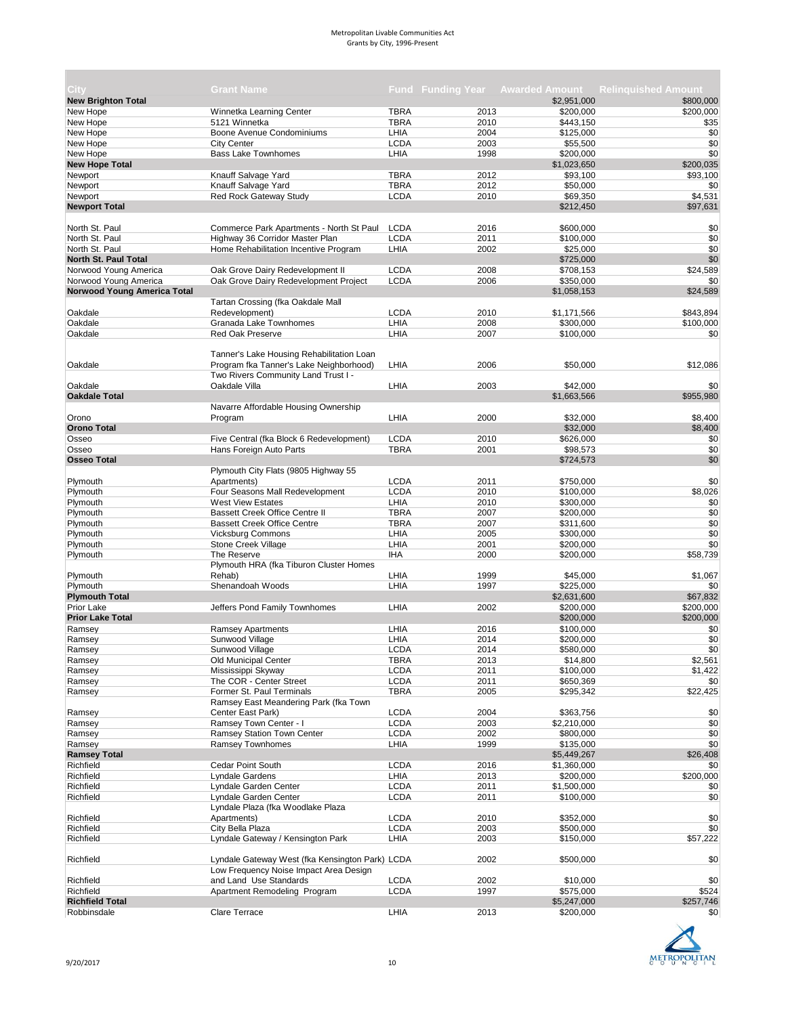| City                        | <b>Grant Name</b>                               |             | <b>Fund Funding Year</b> |                       | <b>Awarded Amount Relinguished Amount</b> |
|-----------------------------|-------------------------------------------------|-------------|--------------------------|-----------------------|-------------------------------------------|
| <b>New Brighton Total</b>   |                                                 |             |                          | \$2,951,000           | \$800,000                                 |
| New Hope                    | Winnetka Learning Center                        | <b>TBRA</b> | 2013                     | \$200,000             | \$200,000                                 |
| New Hope                    | 5121 Winnetka                                   | <b>TBRA</b> | 2010                     | \$443,150             | \$35                                      |
| New Hope                    | Boone Avenue Condominiums                       | LHIA        | 2004                     | \$125,000             | \$0                                       |
| New Hope                    | <b>City Center</b>                              | <b>LCDA</b> | 2003                     | \$55,500              | \$0                                       |
| New Hope                    | <b>Bass Lake Townhomes</b>                      | LHIA        | 1998                     | \$200,000             | \$0                                       |
| <b>New Hope Total</b>       |                                                 |             |                          | \$1,023,650           | \$200,035                                 |
| Newport                     | Knauff Salvage Yard                             | <b>TBRA</b> | 2012                     | \$93,100              | \$93,100                                  |
| Newport                     | Knauff Salvage Yard                             | <b>TBRA</b> | 2012                     | \$50,000              | \$0                                       |
| Newport                     | Red Rock Gateway Study                          | <b>LCDA</b> | 2010                     | \$69,350              | \$4,531                                   |
| <b>Newport Total</b>        |                                                 |             |                          | \$212,450             | \$97,631                                  |
|                             |                                                 |             |                          |                       |                                           |
| North St. Paul              | Commerce Park Apartments - North St Paul        | <b>LCDA</b> | 2016                     | \$600,000             | \$0                                       |
| North St. Paul              | Highway 36 Corridor Master Plan                 | <b>LCDA</b> | 2011                     | \$100,000             | \$0                                       |
| North St. Paul              | Home Rehabilitation Incentive Program           | LHIA        | 2002                     | \$25,000              | \$0                                       |
| <b>North St. Paul Total</b> |                                                 |             |                          | \$725,000             | \$0                                       |
| Norwood Young America       | Oak Grove Dairy Redevelopment II                | <b>LCDA</b> | 2008                     | \$708,153             | \$24,589                                  |
| Norwood Young America       | Oak Grove Dairy Redevelopment Project           | <b>LCDA</b> | 2006                     | \$350,000             | \$0                                       |
| Norwood Young America Total |                                                 |             |                          | \$1,058,153           | \$24,589                                  |
|                             | Tartan Crossing (fka Oakdale Mall               |             |                          |                       |                                           |
| Oakdale                     | Redevelopment)                                  | <b>LCDA</b> | 2010                     | \$1,171,566           | \$843,894                                 |
| Oakdale                     | Granada Lake Townhomes                          | LHIA        | 2008                     | \$300,000             |                                           |
|                             |                                                 |             |                          |                       | \$100,000                                 |
| Oakdale                     | <b>Red Oak Preserve</b>                         | LHIA        | 2007                     | \$100,000             | \$0                                       |
|                             | Tanner's Lake Housing Rehabilitation Loan       |             |                          |                       |                                           |
| Oakdale                     | Program fka Tanner's Lake Neighborhood)         | LHIA        | 2006                     | \$50,000              | \$12,086                                  |
|                             | Two Rivers Community Land Trust I -             |             |                          |                       |                                           |
| Oakdale                     |                                                 | LHIA        | 2003                     | \$42,000              | \$0                                       |
| <b>Oakdale Total</b>        | Oakdale Villa                                   |             |                          | \$1,663,566           | \$955,980                                 |
|                             |                                                 |             |                          |                       |                                           |
|                             | Navarre Affordable Housing Ownership            |             |                          |                       |                                           |
| Orono                       | Program                                         | LHIA        | 2000                     | \$32,000              | \$8.400                                   |
| <b>Orono Total</b>          |                                                 |             |                          | \$32,000              | \$8,400                                   |
| Osseo                       | Five Central (fka Block 6 Redevelopment)        | <b>LCDA</b> | 2010                     | \$626,000             | \$0                                       |
| Osseo                       | Hans Foreign Auto Parts                         | <b>TBRA</b> | 2001                     | \$98,573              | \$0                                       |
| <b>Osseo Total</b>          |                                                 |             |                          | \$724,573             | \$0                                       |
|                             | Plymouth City Flats (9805 Highway 55            |             |                          |                       |                                           |
| Plymouth                    | Apartments)                                     | <b>LCDA</b> | 2011                     | \$750,000             | \$0                                       |
| Plymouth                    | Four Seasons Mall Redevelopment                 | <b>LCDA</b> | 2010                     | \$100,000             | \$8,026                                   |
| Plymouth                    | <b>West View Estates</b>                        | LHIA        | 2010                     | \$300,000             | \$0                                       |
| Plymouth                    | <b>Bassett Creek Office Centre II</b>           | <b>TBRA</b> | 2007                     | \$200,000             | \$0                                       |
| Plymouth                    | <b>Bassett Creek Office Centre</b>              | <b>TBRA</b> | 2007                     | \$311,600             | \$0                                       |
| Plymouth                    | <b>Vicksburg Commons</b>                        | LHIA        | 2005                     | \$300,000             | \$0                                       |
| Plymouth                    | Stone Creek Village                             | LHIA        | 2001                     | \$200,000             | \$0                                       |
| Plymouth                    | The Reserve                                     | <b>IHA</b>  | 2000                     | \$200,000             | \$58,739                                  |
|                             | Plymouth HRA (fka Tiburon Cluster Homes         |             |                          |                       |                                           |
| Plymouth                    | Rehab)                                          | LHIA        | 1999                     | \$45,000              | \$1,067                                   |
| Plymouth                    | Shenandoah Woods                                | LHIA        | 1997                     | \$225,000             | \$0                                       |
| <b>Plymouth Total</b>       |                                                 |             |                          | \$2,631,600           | \$67,832                                  |
| <b>Prior Lake</b>           | Jeffers Pond Family Townhomes                   | LHIA        | 2002                     | \$200,000             | \$200,000                                 |
| <b>Prior Lake Total</b>     |                                                 |             |                          | \$200,000             | \$200,000                                 |
| Ramsey                      |                                                 | LHIA        | 2016                     |                       | \$0                                       |
|                             | <b>Ramsey Apartments</b>                        |             |                          | \$100,000             | \$0                                       |
| Ramsey                      | Sunwood Village                                 | LHIA        | 2014<br>2014             | \$200,000             | \$0                                       |
| Ramsey                      | Sunwood Village                                 | <b>LCDA</b> |                          | \$580,000<br>\$14,800 |                                           |
| Ramsey                      | Old Municipal Center                            | <b>TBRA</b> | 2013                     |                       | \$2,561                                   |
| Ramsey                      | Mississippi Skyway                              | <b>LCDA</b> | 2011                     | \$100,000             | \$1,422                                   |
| Ramsey                      | The COR - Center Street                         | <b>LCDA</b> | 2011                     | \$650,369             | \$0                                       |
| Ramsey                      | Former St. Paul Terminals                       | <b>TBRA</b> | 2005                     | \$295,342             | \$22,425                                  |
|                             | Ramsey East Meandering Park (fka Town           |             |                          |                       |                                           |
| Ramsey                      | Center East Park)                               | <b>LCDA</b> | 2004                     | \$363,756             | \$0                                       |
| Ramsey                      | Ramsey Town Center - I                          | <b>LCDA</b> | 2003                     | \$2,210,000           | \$0                                       |
| Ramsey                      | Ramsey Station Town Center                      | <b>LCDA</b> | 2002                     | \$800,000             | \$0                                       |
| Ramsey                      | <b>Ramsey Townhomes</b>                         | LHIA        | 1999                     | \$135,000             | \$0                                       |
| <b>Ramsey Total</b>         |                                                 |             |                          | \$5,449,267           | \$26,408                                  |
| Richfield                   | Cedar Point South                               | <b>LCDA</b> | 2016                     | \$1,360,000           | \$0                                       |
| Richfield                   | Lyndale Gardens                                 | LHIA        | 2013                     | \$200,000             | \$200,000                                 |
| Richfield                   | Lyndale Garden Center                           | <b>LCDA</b> | 2011                     | \$1,500,000           | \$0                                       |
| Richfield                   | Lyndale Garden Center                           | <b>LCDA</b> | 2011                     | \$100,000             | \$0                                       |
|                             | Lyndale Plaza (fka Woodlake Plaza               |             |                          |                       |                                           |
| Richfield                   | Apartments)                                     | <b>LCDA</b> | 2010                     | \$352,000             | \$0                                       |
| Richfield                   | City Bella Plaza                                | <b>LCDA</b> | 2003                     | \$500,000             | \$0                                       |
| Richfield                   | Lyndale Gateway / Kensington Park               | LHIA        | 2003                     | \$150,000             | \$57,222                                  |
|                             |                                                 |             |                          |                       |                                           |
| Richfield                   | Lyndale Gateway West (fka Kensington Park) LCDA |             | 2002                     | \$500,000             | \$0                                       |
|                             | Low Frequency Noise Impact Area Design          |             |                          |                       |                                           |
| Richfield                   | and Land Use Standards                          | <b>LCDA</b> | 2002                     | \$10,000              | \$0                                       |
| Richfield                   | Apartment Remodeling Program                    | <b>LCDA</b> | 1997                     | \$575,000             | \$524                                     |
| <b>Richfield Total</b>      |                                                 |             |                          | \$5,247,000           | \$257,746                                 |
| Robbinsdale                 | Clare Terrace                                   | LHIA        | 2013                     | \$200,000             | \$0                                       |
|                             |                                                 |             |                          |                       |                                           |



**The State**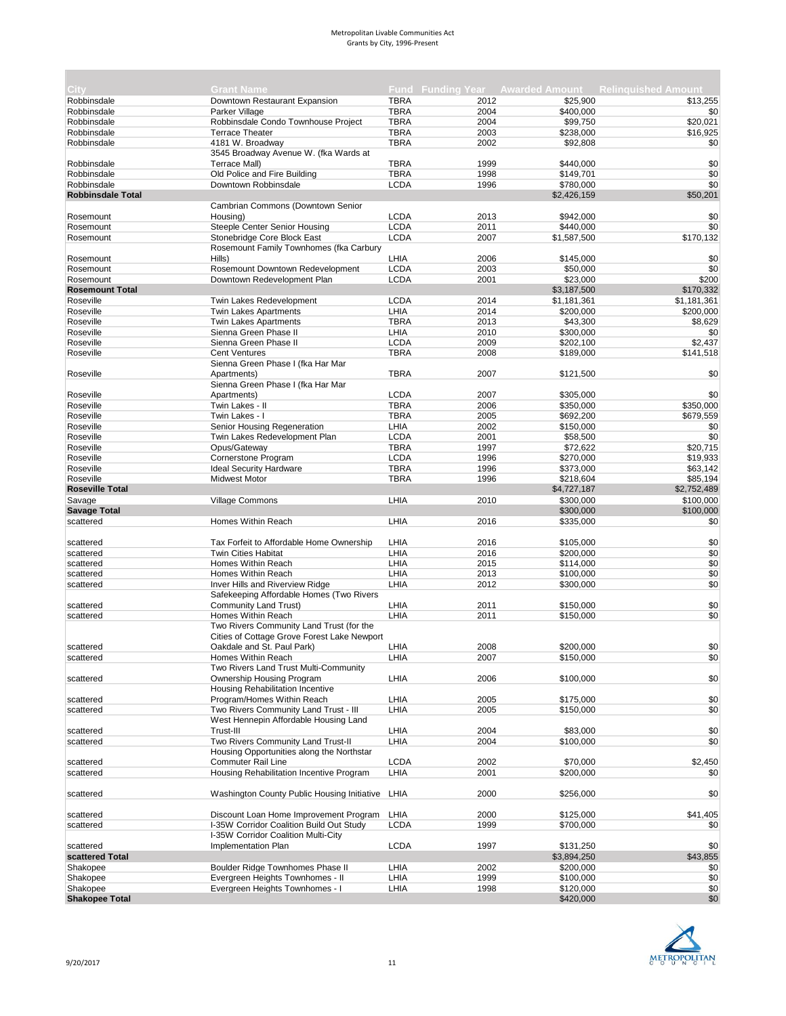| City                     | <b>Grant Name</b>                                                      |              |              |             | Fund Funding Year Awarded Amount Relinquished Amount |
|--------------------------|------------------------------------------------------------------------|--------------|--------------|-------------|------------------------------------------------------|
|                          |                                                                        |              |              |             |                                                      |
| Robbinsdale              | Downtown Restaurant Expansion                                          | <b>TBRA</b>  | 2012         | \$25,900    | \$13,255                                             |
| Robbinsdale              | Parker Village                                                         | <b>TBRA</b>  | 2004         | \$400,000   | \$0                                                  |
| Robbinsdale              | Robbinsdale Condo Townhouse Project                                    | <b>TBRA</b>  | 2004         | \$99,750    | \$20,021                                             |
| Robbinsdale              | <b>Terrace Theater</b>                                                 | <b>TBRA</b>  | 2003         | \$238,000   | \$16,925                                             |
| Robbinsdale              | 4181 W. Broadway                                                       | <b>TBRA</b>  | 2002         | \$92,808    | \$0                                                  |
|                          | 3545 Broadway Avenue W. (fka Wards at                                  |              |              |             |                                                      |
| Robbinsdale              | Terrace Mall)                                                          | <b>TBRA</b>  | 1999         | \$440,000   | \$0                                                  |
| Robbinsdale              | Old Police and Fire Building                                           | <b>TBRA</b>  | 1998         | \$149,701   | \$0                                                  |
| Robbinsdale              | Downtown Robbinsdale                                                   | <b>LCDA</b>  | 1996         | \$780,000   | \$0                                                  |
| <b>Robbinsdale Total</b> |                                                                        |              |              | \$2,426,159 | \$50,201                                             |
|                          | Cambrian Commons (Downtown Senior                                      |              |              |             |                                                      |
| Rosemount                | Housing)                                                               | <b>LCDA</b>  | 2013         | \$942,000   | \$0                                                  |
| Rosemount                | Steeple Center Senior Housing                                          | <b>LCDA</b>  | 2011         | \$440,000   | \$0                                                  |
| Rosemount                | Stonebridge Core Block East                                            | <b>LCDA</b>  | 2007         | \$1,587,500 | \$170,132                                            |
|                          | Rosemount Family Townhomes (fka Carbury                                |              |              |             |                                                      |
| Rosemount                | Hills)                                                                 | LHIA         | 2006         | \$145,000   | \$0                                                  |
| Rosemount                | Rosemount Downtown Redevelopment                                       | <b>LCDA</b>  | 2003         | \$50,000    | \$0                                                  |
| Rosemount                | Downtown Redevelopment Plan                                            | <b>LCDA</b>  | 2001         | \$23,000    | \$200                                                |
| <b>Rosemount Total</b>   |                                                                        |              |              | \$3,187,500 | \$170,332                                            |
| Roseville                | Twin Lakes Redevelopment                                               | <b>LCDA</b>  | 2014         | \$1,181,361 | \$1,181,361                                          |
| Roseville                | <b>Twin Lakes Apartments</b>                                           | LHIA         | 2014         | \$200,000   | \$200,000                                            |
| Roseville                | <b>Twin Lakes Apartments</b>                                           | <b>TBRA</b>  | 2013         | \$43,300    | \$8,629                                              |
| Roseville                | Sienna Green Phase II                                                  | LHIA         | 2010         | \$300,000   | \$0                                                  |
| Roseville                | Sienna Green Phase II                                                  | <b>LCDA</b>  | 2009         | \$202,100   | \$2,437                                              |
| Roseville                | <b>Cent Ventures</b>                                                   | <b>TBRA</b>  | 2008         | \$189,000   | \$141,518                                            |
|                          | Sienna Green Phase I (fka Har Mar                                      |              |              |             |                                                      |
| Roseville                | Apartments)                                                            | <b>TBRA</b>  | 2007         | \$121,500   | \$0                                                  |
|                          | Sienna Green Phase I (fka Har Mar                                      |              |              |             |                                                      |
| Roseville                | Apartments)                                                            | <b>LCDA</b>  | 2007         | \$305,000   | \$0                                                  |
| Roseville                | Twin Lakes - II                                                        | <b>TBRA</b>  | 2006         | \$350,000   | \$350,000                                            |
| Roseville                | Twin Lakes - I                                                         | <b>TBRA</b>  | 2005         | \$692,200   | \$679,559                                            |
| Roseville                | Senior Housing Regeneration                                            | LHIA         | 2002         | \$150,000   | \$0                                                  |
| Roseville                | Twin Lakes Redevelopment Plan                                          | <b>LCDA</b>  | 2001         | \$58,500    | \$0                                                  |
| Roseville                | Opus/Gateway                                                           | <b>TBRA</b>  | 1997         | \$72,622    | \$20,715                                             |
| Roseville                | Cornerstone Program                                                    | <b>LCDA</b>  | 1996         | \$270,000   | \$19,933                                             |
| Roseville                | <b>Ideal Security Hardware</b>                                         | <b>TBRA</b>  | 1996         | \$373,000   | \$63,142                                             |
| Roseville                | <b>Midwest Motor</b>                                                   | <b>TBRA</b>  | 1996         | \$218,604   | \$85,194                                             |
| <b>Roseville Total</b>   |                                                                        |              |              | \$4,727,187 | \$2,752,489                                          |
| Savage                   | <b>Village Commons</b>                                                 | LHIA         | 2010         | \$300,000   | \$100,000                                            |
| <b>Savage Total</b>      |                                                                        |              |              | \$300,000   | \$100,000                                            |
|                          |                                                                        |              |              |             |                                                      |
| scattered                | Homes Within Reach                                                     | LHIA         | 2016         | \$335,000   | \$0                                                  |
|                          |                                                                        | LHIA         |              |             | \$0                                                  |
| scattered                | Tax Forfeit to Affordable Home Ownership<br><b>Twin Cities Habitat</b> | LHIA         | 2016<br>2016 | \$105,000   |                                                      |
| scattered                | Homes Within Reach                                                     | LHIA         | 2015         | \$200,000   | \$0<br>\$0                                           |
| scattered                |                                                                        |              |              | \$114,000   |                                                      |
| scattered                | Homes Within Reach                                                     | LHIA<br>LHIA | 2013<br>2012 | \$100,000   | \$0<br>\$0                                           |
| scattered                | Inver Hills and Riverview Ridge                                        |              |              | \$300,000   |                                                      |
|                          | Safekeeping Affordable Homes (Two Rivers                               |              |              |             |                                                      |
| scattered                | Community Land Trust)                                                  | LHIA         | 2011         | \$150,000   | \$0                                                  |
| scattered                | Homes Within Reach                                                     | LHIA         | 2011         | \$150,000   | \$0                                                  |
|                          | Two Rivers Community Land Trust (for the                               |              |              |             |                                                      |
|                          | Cities of Cottage Grove Forest Lake Newport                            |              |              |             |                                                      |
| scattered                | Oakdale and St. Paul Park)                                             | LHIA         | 2008         | \$200,000   | \$0                                                  |
| scattered                | Homes Within Reach                                                     | LHIA         | 2007         | \$150,000   | \$0                                                  |
|                          | Two Rivers Land Trust Multi-Community                                  |              |              |             |                                                      |
| scattered                | Ownership Housing Program<br>Housing Rehabilitation Incentive          | LHIA         | 2006         | \$100,000   | \$0                                                  |
|                          |                                                                        |              |              |             |                                                      |
| scattered                | Program/Homes Within Reach                                             | LHIA         | 2005         | \$175,000   | \$0                                                  |
| scattered                | Two Rivers Community Land Trust - III                                  | LHIA         | 2005         | \$150,000   | \$0                                                  |
|                          | West Hennepin Affordable Housing Land                                  |              |              |             |                                                      |
| scattered                | Trust-III                                                              | LHIA         | 2004         | \$83,000    | \$0                                                  |
| scattered                | Two Rivers Community Land Trust-II                                     | LHIA         | 2004         | \$100,000   | \$0                                                  |
|                          | Housing Opportunities along the Northstar                              |              |              |             |                                                      |
| scattered                | Commuter Rail Line                                                     | <b>LCDA</b>  | 2002         | \$70,000    | \$2,450                                              |
| scattered                | Housing Rehabilitation Incentive Program                               | LHIA         | 2001         | \$200,000   | \$0                                                  |
|                          |                                                                        |              |              |             |                                                      |
| scattered                | Washington County Public Housing Initiative                            | LHIA         | 2000         | \$256,000   | \$0                                                  |
|                          |                                                                        |              |              |             |                                                      |
| scattered                | Discount Loan Home Improvement Program                                 | LHIA         | 2000         | \$125,000   | \$41,405                                             |
| scattered                | I-35W Corridor Coalition Build Out Study                               | <b>LCDA</b>  | 1999         | \$700,000   | \$0                                                  |
|                          | I-35W Corridor Coalition Multi-City                                    |              |              |             |                                                      |
| scattered                | Implementation Plan                                                    | <b>LCDA</b>  | 1997         | \$131,250   | \$0                                                  |
| scattered Total          |                                                                        |              |              | \$3,894,250 | \$43,855                                             |
| Shakopee                 | Boulder Ridge Townhomes Phase II                                       | LHIA         | 2002         | \$200,000   | \$0                                                  |
| Shakopee                 | Evergreen Heights Townhomes - II                                       | LHIA         | 1999         | \$100,000   | \$0                                                  |
| Shakopee                 | Evergreen Heights Townhomes - I                                        | LHIA         | 1998         | \$120,000   | \$0                                                  |
| <b>Shakopee Total</b>    |                                                                        |              |              | \$420,000   | \$0                                                  |

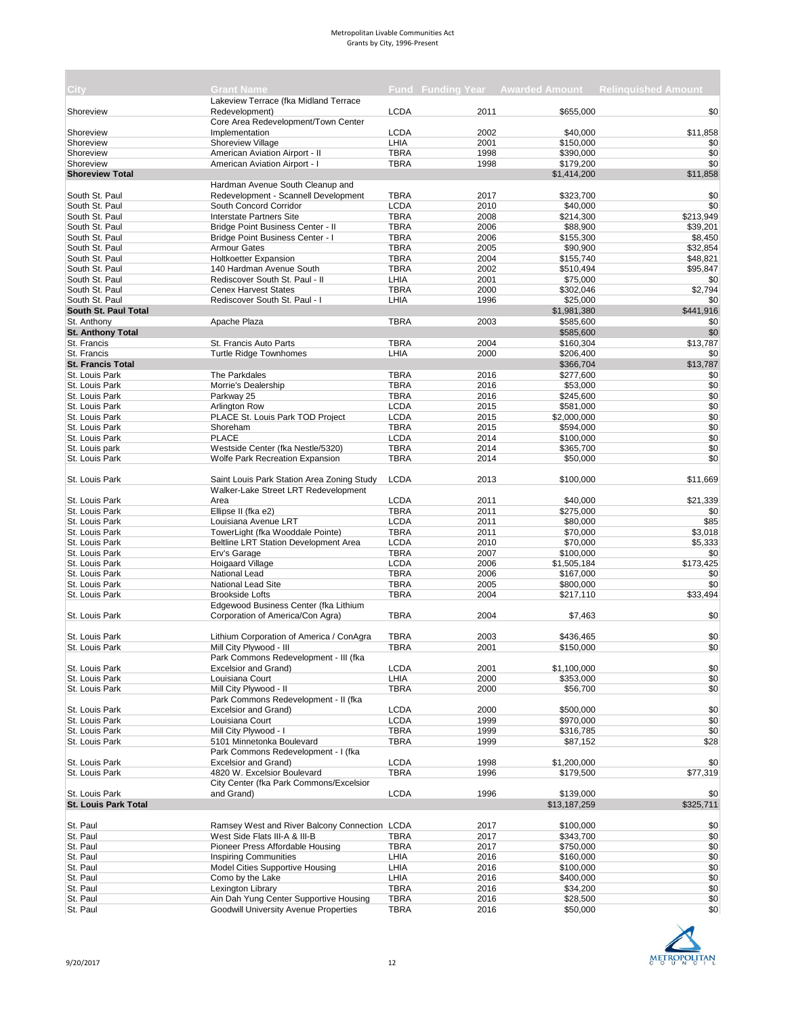| City:                       | <b>Grant Name</b>                             |             |      |              | Fund Funding Year Awarded Amount Relinguished Amount |
|-----------------------------|-----------------------------------------------|-------------|------|--------------|------------------------------------------------------|
|                             | Lakeview Terrace (fka Midland Terrace         |             |      |              |                                                      |
| Shoreview                   | Redevelopment)                                | <b>LCDA</b> | 2011 | \$655,000    | \$0                                                  |
|                             | Core Area Redevelopment/Town Center           |             |      |              |                                                      |
| Shoreview                   | Implementation                                | <b>LCDA</b> | 2002 | \$40,000     | \$11,858                                             |
| Shoreview                   | Shoreview Village                             | LHIA        | 2001 | \$150,000    | \$0                                                  |
| Shoreview                   | American Aviation Airport - II                | <b>TBRA</b> | 1998 | \$390,000    | \$0                                                  |
|                             |                                               |             |      |              |                                                      |
| Shoreview                   | American Aviation Airport - I                 | <b>TBRA</b> | 1998 | \$179,200    | \$0                                                  |
| <b>Shoreview Total</b>      |                                               |             |      | \$1,414,200  | \$11,858                                             |
|                             | Hardman Avenue South Cleanup and              |             |      |              |                                                      |
| South St. Paul              | Redevelopment - Scannell Development          | <b>TBRA</b> | 2017 | \$323,700    | \$0                                                  |
| South St. Paul              | South Concord Corridor                        | <b>LCDA</b> | 2010 | \$40,000     | \$0                                                  |
| South St. Paul              | Interstate Partners Site                      | <b>TBRA</b> | 2008 | \$214,300    | \$213,949                                            |
| South St. Paul              | Bridge Point Business Center - II             | <b>TBRA</b> | 2006 | \$88,900     | \$39,201                                             |
| South St. Paul              | Bridge Point Business Center - I              | <b>TBRA</b> | 2006 | \$155,300    | \$8.450                                              |
| South St. Paul              | <b>Armour Gates</b>                           | <b>TBRA</b> | 2005 | \$90,900     | \$32,854                                             |
| South St. Paul              |                                               | <b>TBRA</b> | 2004 | \$155,740    | \$48,821                                             |
|                             | <b>Holtkoetter Expansion</b>                  |             |      |              |                                                      |
| South St. Paul              | 140 Hardman Avenue South                      | <b>TBRA</b> | 2002 | \$510,494    | \$95,847                                             |
| South St. Paul              | Rediscover South St. Paul - II                | LHIA        | 2001 | \$75,000     | \$0                                                  |
| South St. Paul              | <b>Cenex Harvest States</b>                   | <b>TBRA</b> | 2000 | \$302,046    | \$2,794                                              |
| South St. Paul              | Rediscover South St. Paul - I                 | LHIA        | 1996 | \$25,000     | \$0                                                  |
| South St. Paul Total        |                                               |             |      | \$1,981,380  | \$441,916                                            |
| St. Anthony                 | Apache Plaza                                  | <b>TBRA</b> | 2003 | \$585,600    | \$0                                                  |
| <b>St. Anthony Total</b>    |                                               |             |      | \$585,600    | \$0                                                  |
| St. Francis                 | St. Francis Auto Parts                        | <b>TBRA</b> | 2004 | \$160,304    | \$13,787                                             |
| St. Francis                 |                                               | LHIA        |      | \$206,400    |                                                      |
|                             | <b>Turtle Ridge Townhomes</b>                 |             | 2000 |              | \$0                                                  |
| <b>St. Francis Total</b>    |                                               |             |      | \$366,704    | \$13,787                                             |
| St. Louis Park              | The Parkdales                                 | <b>TBRA</b> | 2016 | \$277,600    | \$0                                                  |
| St. Louis Park              | Morrie's Dealership                           | <b>TBRA</b> | 2016 | \$53,000     | \$0                                                  |
| St. Louis Park              | Parkway 25                                    | <b>TBRA</b> | 2016 | \$245,600    | \$0                                                  |
| St. Louis Park              | Arlington Row                                 | <b>LCDA</b> | 2015 | \$581,000    | \$0                                                  |
| St. Louis Park              | PLACE St. Louis Park TOD Project              | <b>LCDA</b> | 2015 | \$2,000,000  | \$0                                                  |
| St. Louis Park              | Shoreham                                      | <b>TBRA</b> | 2015 | \$594,000    | \$0                                                  |
|                             | <b>PLACE</b>                                  | <b>LCDA</b> |      |              |                                                      |
| St. Louis Park              |                                               |             | 2014 | \$100,000    | \$0                                                  |
| St. Louis park              | Westside Center (fka Nestle/5320)             | <b>TBRA</b> | 2014 | \$365,700    | \$0                                                  |
| St. Louis Park              | Wolfe Park Recreation Expansion               | <b>TBRA</b> | 2014 | \$50,000     | \$0                                                  |
|                             |                                               |             |      |              |                                                      |
| St. Louis Park              | Saint Louis Park Station Area Zoning Study    | <b>LCDA</b> | 2013 | \$100,000    | \$11,669                                             |
|                             | Walker-Lake Street LRT Redevelopment          |             |      |              |                                                      |
| St. Louis Park              | Area                                          | <b>LCDA</b> | 2011 | \$40,000     | \$21,339                                             |
| St. Louis Park              | Ellipse II (fka e2)                           | <b>TBRA</b> | 2011 | \$275,000    | \$0                                                  |
| St. Louis Park              | Louisiana Avenue LRT                          | <b>LCDA</b> | 2011 | \$80,000     | \$85                                                 |
|                             |                                               |             |      |              |                                                      |
| St. Louis Park              | TowerLight (fka Wooddale Pointe)              | <b>TBRA</b> | 2011 | \$70,000     | \$3,018                                              |
| St. Louis Park              | Beltline LRT Station Development Area         | <b>LCDA</b> | 2010 | \$70,000     | \$5,333                                              |
| St. Louis Park              | Erv's Garage                                  | <b>TBRA</b> | 2007 | \$100,000    | \$0                                                  |
| St. Louis Park              | Hoigaard Village                              | <b>LCDA</b> | 2006 | \$1,505,184  | \$173,425                                            |
| St. Louis Park              | <b>National Lead</b>                          | <b>TBRA</b> | 2006 | \$167,000    | \$0                                                  |
| St. Louis Park              | <b>National Lead Site</b>                     | <b>TBRA</b> | 2005 | \$800,000    | \$0                                                  |
| St. Louis Park              | <b>Brookside Lofts</b>                        | <b>TBRA</b> | 2004 | \$217,110    | \$33,494                                             |
|                             | Edgewood Business Center (fka Lithium         |             |      |              |                                                      |
| St. Louis Park              | Corporation of America/Con Agra)              | <b>TBRA</b> | 2004 | \$7,463      | \$0                                                  |
|                             |                                               |             |      |              |                                                      |
|                             |                                               |             |      |              |                                                      |
| St. Louis Park              | Lithium Corporation of America / ConAgra      | <b>TBRA</b> | 2003 | \$436,465    | \$0                                                  |
| St. Louis Park              | Mill City Plywood - III                       | <b>TBRA</b> | 2001 | \$150,000    | \$0                                                  |
|                             | Park Commons Redevelopment - III (fka         |             |      |              |                                                      |
| St. Louis Park              | Excelsior and Grand)                          | <b>LCDA</b> | 2001 | \$1,100,000  | \$0                                                  |
| St. Louis Park              | Louisiana Court                               | LHIA        | 2000 | \$353,000    | \$0                                                  |
| St. Louis Park              | Mill City Plywood - II                        | TBRA        | 2000 | \$56,700     | \$0                                                  |
|                             | Park Commons Redevelopment - II (fka          |             |      |              |                                                      |
| St. Louis Park              | Excelsior and Grand)                          | <b>LCDA</b> | 2000 | \$500,000    | \$0                                                  |
| St. Louis Park              | Louisiana Court                               | <b>LCDA</b> | 1999 | \$970,000    | \$0                                                  |
| St. Louis Park              | Mill City Plywood - I                         | <b>TBRA</b> | 1999 | \$316,785    | \$0                                                  |
|                             |                                               |             |      |              |                                                      |
| St. Louis Park              | 5101 Minnetonka Boulevard                     | <b>TBRA</b> | 1999 | \$87,152     | \$28                                                 |
|                             | Park Commons Redevelopment - I (fka           |             |      |              |                                                      |
| St. Louis Park              | Excelsior and Grand)                          | <b>LCDA</b> | 1998 | \$1,200,000  | \$0                                                  |
| St. Louis Park              | 4820 W. Excelsior Boulevard                   | <b>TBRA</b> | 1996 | \$179,500    | \$77,319                                             |
|                             | City Center (fka Park Commons/Excelsior       |             |      |              |                                                      |
| St. Louis Park              | and Grand)                                    | <b>LCDA</b> | 1996 | \$139,000    | \$0                                                  |
| <b>St. Louis Park Total</b> |                                               |             |      | \$13,187,259 | \$325,711                                            |
|                             |                                               |             |      |              |                                                      |
| St. Paul                    | Ramsey West and River Balcony Connection LCDA |             | 2017 | \$100,000    | \$0                                                  |
| St. Paul                    | West Side Flats III-A & III-B                 | <b>TBRA</b> | 2017 | \$343,700    | \$0                                                  |
| St. Paul                    | Pioneer Press Affordable Housing              | TBRA        | 2017 | \$750,000    | \$0                                                  |
|                             |                                               |             |      |              |                                                      |
| St. Paul                    | <b>Inspiring Communities</b>                  | LHIA        | 2016 | \$160,000    | \$0                                                  |
| St. Paul                    | Model Cities Supportive Housing               | LHIA        | 2016 | \$100,000    | \$0                                                  |
| St. Paul                    | Como by the Lake                              | LHIA        | 2016 | \$400,000    | \$0                                                  |
| St. Paul                    | Lexington Library                             | <b>TBRA</b> | 2016 | \$34,200     | \$0                                                  |
| St. Paul                    | Ain Dah Yung Center Supportive Housing        | <b>TBRA</b> | 2016 | \$28,500     | \$0                                                  |
| St. Paul                    | <b>Goodwill University Avenue Properties</b>  | <b>TBRA</b> | 2016 | \$50,000     | \$0                                                  |

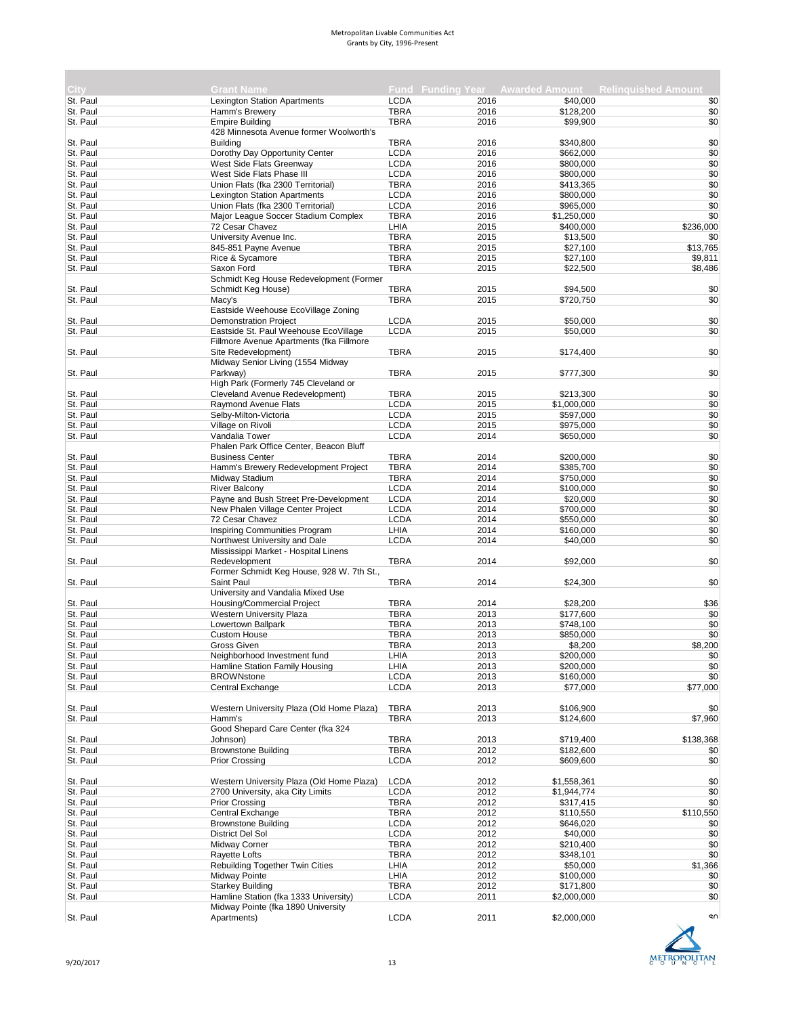| City     | <b>Grant Name</b>                                                 |                            |      |             | <b>Fund Funding Year Awarded Amount Relinguished Amount</b> |
|----------|-------------------------------------------------------------------|----------------------------|------|-------------|-------------------------------------------------------------|
|          |                                                                   |                            | 2016 |             |                                                             |
| St. Paul | <b>Lexington Station Apartments</b>                               | <b>LCDA</b><br><b>TBRA</b> |      | \$40,000    | \$0                                                         |
| St. Paul | Hamm's Brewery                                                    |                            | 2016 | \$128,200   | \$0                                                         |
| St. Paul | <b>Empire Building</b><br>428 Minnesota Avenue former Woolworth's | <b>TBRA</b>                | 2016 | \$99,900    | \$0                                                         |
|          |                                                                   |                            |      |             |                                                             |
| St. Paul | <b>Building</b>                                                   | <b>TBRA</b><br><b>LCDA</b> | 2016 | \$340,800   | \$0                                                         |
| St. Paul | Dorothy Day Opportunity Center                                    |                            | 2016 | \$662,000   | \$0                                                         |
| St. Paul | West Side Flats Greenway                                          | <b>LCDA</b>                | 2016 | \$800,000   | \$0                                                         |
| St. Paul | West Side Flats Phase III                                         | <b>LCDA</b>                | 2016 | \$800,000   | \$0                                                         |
| St. Paul | Union Flats (fka 2300 Territorial)                                | <b>TBRA</b>                | 2016 | \$413,365   | \$0                                                         |
| St. Paul | <b>Lexington Station Apartments</b>                               | <b>LCDA</b>                | 2016 | \$800,000   | \$0                                                         |
| St. Paul | Union Flats (fka 2300 Territorial)                                | <b>LCDA</b>                | 2016 | \$965,000   | \$0                                                         |
| St. Paul | Major League Soccer Stadium Complex                               | <b>TBRA</b>                | 2016 | \$1,250,000 | \$0                                                         |
| St. Paul | 72 Cesar Chavez                                                   | LHIA                       | 2015 | \$400,000   | \$236,000                                                   |
| St. Paul | University Avenue Inc.                                            | <b>TBRA</b>                | 2015 | \$13,500    | \$0                                                         |
| St. Paul | 845-851 Payne Avenue                                              | <b>TBRA</b>                | 2015 | \$27,100    | \$13,765                                                    |
| St. Paul | Rice & Sycamore                                                   | <b>TBRA</b>                | 2015 | \$27,100    | \$9,811                                                     |
| St. Paul | Saxon Ford                                                        | <b>TBRA</b>                | 2015 | \$22,500    | \$8,486                                                     |
|          | Schmidt Keg House Redevelopment (Former                           |                            |      |             |                                                             |
| St. Paul | Schmidt Keg House)                                                | <b>TBRA</b>                | 2015 | \$94,500    | \$0                                                         |
| St. Paul | Macy's                                                            | <b>TBRA</b>                | 2015 | \$720,750   | \$0                                                         |
|          | Eastside Weehouse EcoVillage Zoning                               |                            |      |             |                                                             |
| St. Paul | <b>Demonstration Project</b>                                      | <b>LCDA</b>                | 2015 | \$50,000    | \$0                                                         |
| St. Paul | Eastside St. Paul Weehouse EcoVillage                             | <b>LCDA</b>                | 2015 | \$50,000    | \$0                                                         |
|          | Fillmore Avenue Apartments (fka Fillmore                          |                            |      |             |                                                             |
| St. Paul | Site Redevelopment)                                               | <b>TBRA</b>                | 2015 | \$174,400   | \$0                                                         |
|          | Midway Senior Living (1554 Midway                                 |                            |      |             |                                                             |
|          |                                                                   | <b>TBRA</b>                |      | \$777,300   | \$0                                                         |
| St. Paul | Parkway)                                                          |                            | 2015 |             |                                                             |
|          | High Park (Formerly 745 Cleveland or                              |                            |      |             |                                                             |
| St. Paul | Cleveland Avenue Redevelopment)                                   | <b>TBRA</b>                | 2015 | \$213,300   | \$0                                                         |
| St. Paul | Raymond Avenue Flats                                              | <b>LCDA</b>                | 2015 | \$1,000,000 | \$0                                                         |
| St. Paul | Selby-Milton-Victoria                                             | <b>LCDA</b>                | 2015 | \$597,000   | \$0                                                         |
| St. Paul | Village on Rivoli                                                 | <b>LCDA</b>                | 2015 | \$975,000   | \$0                                                         |
| St. Paul | Vandalia Tower                                                    | <b>LCDA</b>                | 2014 | \$650,000   | \$0                                                         |
|          | Phalen Park Office Center, Beacon Bluff                           |                            |      |             |                                                             |
| St. Paul | <b>Business Center</b>                                            | <b>TBRA</b>                | 2014 | \$200,000   | \$0                                                         |
| St. Paul | Hamm's Brewery Redevelopment Project                              | <b>TBRA</b>                | 2014 | \$385,700   | \$0                                                         |
| St. Paul | Midway Stadium                                                    | <b>TBRA</b>                | 2014 | \$750,000   | \$0                                                         |
| St. Paul | <b>River Balcony</b>                                              | <b>LCDA</b>                | 2014 | \$100,000   | \$0                                                         |
| St. Paul | Payne and Bush Street Pre-Development                             | <b>LCDA</b>                | 2014 | \$20,000    | \$0                                                         |
| St. Paul | New Phalen Village Center Project                                 | <b>LCDA</b>                | 2014 | \$700,000   | \$0                                                         |
| St. Paul | 72 Cesar Chavez                                                   | <b>LCDA</b>                | 2014 | \$550,000   | \$0                                                         |
| St. Paul | <b>Inspiring Communities Program</b>                              | LHIA                       | 2014 | \$160,000   | \$0                                                         |
| St. Paul | Northwest University and Dale                                     | <b>LCDA</b>                | 2014 | \$40,000    | \$0                                                         |
|          | Mississippi Market - Hospital Linens                              |                            |      |             |                                                             |
| St. Paul | Redevelopment                                                     | <b>TBRA</b>                | 2014 | \$92,000    | \$0                                                         |
|          | Former Schmidt Keg House, 928 W. 7th St.,                         |                            |      |             |                                                             |
| St. Paul | Saint Paul                                                        | <b>TBRA</b>                | 2014 | \$24,300    | \$0                                                         |
|          | University and Vandalia Mixed Use                                 |                            |      |             |                                                             |
|          |                                                                   |                            |      |             |                                                             |
| St. Paul | Housing/Commercial Project                                        | <b>TBRA</b>                | 2014 | \$28,200    | \$36                                                        |
| St. Paul | Western University Plaza                                          | <b>TBRA</b>                | 2013 | \$177,600   | \$0                                                         |
| St. Paul | Lowertown Ballpark                                                | <b>TBRA</b>                | 2013 | \$748,100   | \$0                                                         |
| St. Paul | <b>Custom House</b>                                               | <b>TBRA</b>                | 2013 | \$850,000   | \$0                                                         |
| St. Paul | Gross Given                                                       | <b>TBRA</b>                | 2013 | \$8,200     | \$8,200                                                     |
| St. Paul | Neighborhood Investment fund                                      | LHIA                       | 2013 | \$200,000   | \$0                                                         |
| St. Paul | Hamline Station Family Housing                                    | LHIA                       | 2013 | \$200,000   | \$0                                                         |
| St. Paul | <b>BROWNstone</b>                                                 | <b>LCDA</b>                | 2013 | \$160,000   | \$0                                                         |
| St. Paul | Central Exchange                                                  | <b>LCDA</b>                | 2013 | \$77,000    | \$77,000                                                    |
|          |                                                                   |                            |      |             |                                                             |
| St. Paul | Western University Plaza (Old Home Plaza)                         | <b>TBRA</b>                | 2013 | \$106,900   | \$0                                                         |
| St. Paul | Hamm's                                                            | <b>TBRA</b>                | 2013 | \$124,600   | \$7,960                                                     |
|          | Good Shepard Care Center (fka 324                                 |                            |      |             |                                                             |
| St. Paul | Johnson)                                                          | <b>TBRA</b>                | 2013 | \$719,400   | \$138,368                                                   |
| St. Paul | <b>Brownstone Building</b>                                        | <b>TBRA</b>                | 2012 | \$182,600   | \$0                                                         |
| St. Paul | <b>Prior Crossing</b>                                             | <b>LCDA</b>                | 2012 | \$609,600   | \$0                                                         |
|          |                                                                   |                            |      |             |                                                             |
| St. Paul | Western University Plaza (Old Home Plaza)                         | <b>LCDA</b>                | 2012 | \$1,558,361 | \$0                                                         |
|          |                                                                   |                            |      |             |                                                             |
| St. Paul | 2700 University, aka City Limits                                  | <b>LCDA</b>                | 2012 | \$1,944,774 | \$0                                                         |
| St. Paul | Prior Crossing                                                    | <b>TBRA</b>                | 2012 | \$317,415   | \$0                                                         |
| St. Paul | Central Exchange                                                  | <b>TBRA</b>                | 2012 | \$110,550   | \$110,550                                                   |
| St. Paul | <b>Brownstone Building</b>                                        | <b>LCDA</b>                | 2012 | \$646,020   | \$0                                                         |
| St. Paul | District Del Sol                                                  | <b>LCDA</b>                | 2012 | \$40,000    | \$0                                                         |
| St. Paul | Midway Corner                                                     | <b>TBRA</b>                | 2012 | \$210,400   | \$0                                                         |
| St. Paul | Rayette Lofts                                                     | <b>TBRA</b>                | 2012 | \$348,101   | \$0                                                         |
| St. Paul | <b>Rebuilding Together Twin Cities</b>                            | LHIA                       | 2012 | \$50,000    | \$1,366                                                     |
| St. Paul | Midway Pointe                                                     | LHIA                       | 2012 | \$100,000   | \$0                                                         |
| St. Paul | <b>Starkey Building</b>                                           | <b>TBRA</b>                | 2012 | \$171,800   | \$0                                                         |
| St. Paul | Hamline Station (fka 1333 University)                             | <b>LCDA</b>                | 2011 | \$2,000,000 | \$0                                                         |
|          | Midway Pointe (fka 1890 University                                |                            |      |             |                                                             |
| St. Paul | Apartments)                                                       | <b>LCDA</b>                | 2011 | \$2,000,000 | ¢∩                                                          |
|          |                                                                   |                            |      |             |                                                             |

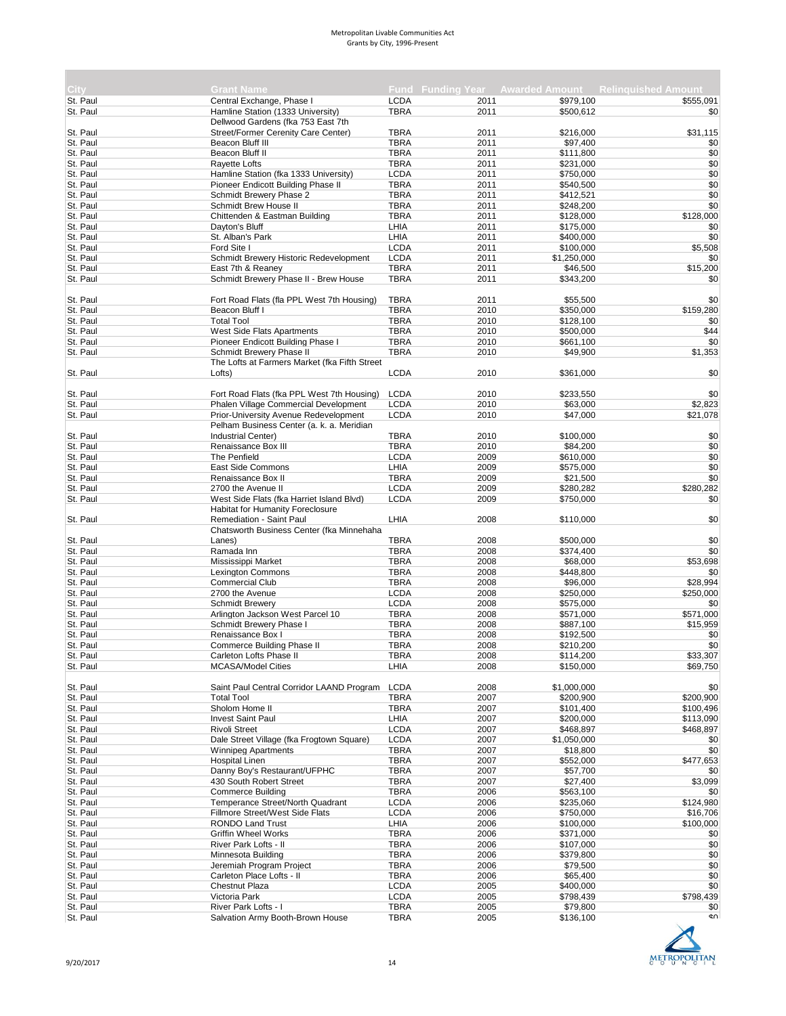| City.                | <b>Grant Name</b>                                                       |                     |              |                        | <b>Fund Funding Year Awarded Amount Relinguished Amount</b> |
|----------------------|-------------------------------------------------------------------------|---------------------|--------------|------------------------|-------------------------------------------------------------|
| St. Paul             | Central Exchange, Phase I                                               | LCDA<br><b>TBRA</b> | 2011<br>2011 | \$979,100              | \$555.091                                                   |
| St. Paul             | Hamline Station (1333 University)<br>Dellwood Gardens (fka 753 East 7th |                     |              | \$500,612              | \$0                                                         |
| St. Paul             | Street/Former Cerenity Care Center)                                     | <b>TBRA</b>         | 2011         | \$216,000              | \$31,115                                                    |
| St. Paul             | Beacon Bluff III                                                        | <b>TBRA</b>         | 2011         | \$97,400               | \$0                                                         |
| St. Paul             | Beacon Bluff II                                                         | <b>TBRA</b>         | 2011         | \$111,800              | \$0                                                         |
| St. Paul             | Rayette Lofts                                                           | <b>TBRA</b>         | 2011         | \$231,000              | \$0                                                         |
| St. Paul             | Hamline Station (fka 1333 University)                                   | <b>LCDA</b>         | 2011         | \$750,000              | \$0                                                         |
| St. Paul             | Pioneer Endicott Building Phase II                                      | <b>TBRA</b>         | 2011         | \$540,500              | \$0                                                         |
| St. Paul             | Schmidt Brewery Phase 2                                                 | <b>TBRA</b>         | 2011         | \$412,521              | \$0                                                         |
| St. Paul             | Schmidt Brew House II                                                   | <b>TBRA</b>         | 2011         | \$248,200              | \$0                                                         |
| St. Paul             | Chittenden & Eastman Building                                           | <b>TBRA</b>         | 2011         | \$128,000              | \$128,000                                                   |
| St. Paul             | Dayton's Bluff                                                          | LHIA                | 2011         | \$175,000              | \$0                                                         |
| St. Paul             | St. Alban's Park                                                        | LHIA                | 2011         | \$400,000              | \$0                                                         |
| St. Paul             | Ford Site I                                                             | <b>LCDA</b>         | 2011         | \$100,000              | \$5,508                                                     |
| St. Paul             | Schmidt Brewery Historic Redevelopment                                  | <b>LCDA</b>         | 2011         | \$1,250,000            | \$0                                                         |
| St. Paul             | East 7th & Reaney                                                       | <b>TBRA</b>         | 2011         | \$46,500               | \$15,200                                                    |
| St. Paul             | Schmidt Brewery Phase II - Brew House                                   | <b>TBRA</b>         | 2011         | \$343,200              | \$0                                                         |
|                      |                                                                         |                     |              |                        |                                                             |
| St. Paul             | Fort Road Flats (fla PPL West 7th Housing)                              | <b>TBRA</b>         | 2011         | \$55,500               | \$0                                                         |
| St. Paul             | Beacon Bluff I                                                          | <b>TBRA</b>         | 2010         | \$350,000              | \$159,280                                                   |
| St. Paul             | <b>Total Tool</b>                                                       | <b>TBRA</b>         | 2010         | \$128,100              | \$0                                                         |
| St. Paul             | West Side Flats Apartments                                              | <b>TBRA</b>         | 2010         | \$500,000              | \$44                                                        |
| St. Paul             | Pioneer Endicott Building Phase I                                       | <b>TBRA</b>         | 2010         | \$661,100              | \$0                                                         |
| St. Paul             | Schmidt Brewery Phase II                                                | <b>TBRA</b>         | 2010         | \$49,900               | \$1,353                                                     |
|                      | The Lofts at Farmers Market (fka Fifth Street                           |                     |              |                        |                                                             |
| St. Paul             | Lofts)                                                                  | <b>LCDA</b>         | 2010         | \$361,000              | \$0                                                         |
|                      |                                                                         |                     |              |                        |                                                             |
| St. Paul             | Fort Road Flats (fka PPL West 7th Housing)                              | <b>LCDA</b>         | 2010         | \$233,550              | \$0                                                         |
| St. Paul             | Phalen Village Commercial Development                                   | <b>LCDA</b>         | 2010         | \$63,000               | \$2,823                                                     |
| St. Paul             | Prior-University Avenue Redevelopment                                   | <b>LCDA</b>         | 2010         | \$47,000               | \$21,078                                                    |
|                      | Pelham Business Center (a. k. a. Meridian                               |                     |              |                        |                                                             |
|                      |                                                                         | TBRA                | 2010         | \$100,000              | \$0                                                         |
| St. Paul<br>St. Paul | Industrial Center)<br>Renaissance Box III                               | <b>TBRA</b>         | 2010         |                        | \$0                                                         |
| St. Paul             | The Penfield                                                            | <b>LCDA</b>         | 2009         | \$84,200               | \$0                                                         |
|                      |                                                                         |                     |              | \$610,000              | \$0                                                         |
| St. Paul             | East Side Commons                                                       | LHIA                | 2009         | \$575,000              |                                                             |
| St. Paul             | Renaissance Box II                                                      | <b>TBRA</b>         | 2009         | \$21,500               | \$0                                                         |
| St. Paul             | 2700 the Avenue II                                                      | <b>LCDA</b>         | 2009         | \$280,282              | \$280,282                                                   |
| St. Paul             | West Side Flats (fka Harriet Island Blvd)                               | <b>LCDA</b>         | 2009         | \$750,000              | \$0                                                         |
|                      | <b>Habitat for Humanity Foreclosure</b>                                 |                     |              |                        |                                                             |
| St. Paul             | Remediation - Saint Paul                                                | LHIA                | 2008         | \$110,000              | \$0                                                         |
|                      | Chatsworth Business Center (fka Minnehaha                               |                     |              |                        |                                                             |
| St. Paul             | Lanes)                                                                  | <b>TBRA</b>         | 2008         | \$500,000              | \$0                                                         |
| St. Paul             | Ramada Inn                                                              | <b>TBRA</b>         | 2008         | \$374,400              | \$0                                                         |
| St. Paul             | Mississippi Market                                                      | <b>TBRA</b>         | 2008         | \$68,000               | \$53,698                                                    |
| St. Paul             | <b>Lexington Commons</b>                                                | <b>TBRA</b>         | 2008         | \$448,800              | \$0                                                         |
| St. Paul             | <b>Commercial Club</b>                                                  | <b>TBRA</b>         | 2008         | \$96,000               | \$28,994                                                    |
| St. Paul<br>St. Paul | 2700 the Avenue                                                         | <b>LCDA</b>         | 2008         | \$250,000              | \$250,000                                                   |
|                      | <b>Schmidt Brewery</b>                                                  | <b>LCDA</b>         | 2008         | \$575,000              | \$0                                                         |
| St. Paul             | Arlington Jackson West Parcel 10                                        | <b>TBRA</b>         | 2008         | \$571,000              | \$571,000                                                   |
| St. Paul             | Schmidt Brewery Phase I                                                 | <b>TBRA</b>         | 2008         | \$887,100              | \$15,959                                                    |
| St. Paul             | Renaissance Box I                                                       | <b>TBRA</b>         | 2008         | \$192,500              | \$0                                                         |
| St. Paul             | Commerce Building Phase II                                              | <b>TBRA</b>         | 2008         | \$210,200              | \$0                                                         |
| St. Paul             | Carleton Lofts Phase II                                                 | TBRA                | 2008         | \$114,200              | \$33,307                                                    |
| St. Paul             | <b>MCASA/Model Cities</b>                                               | LHIA                | 2008         | \$150,000              | \$69,750                                                    |
| St. Paul             | Saint Paul Central Corridor LAAND Program                               | <b>LCDA</b>         | 2008         | \$1,000,000            | \$0                                                         |
|                      |                                                                         |                     |              |                        |                                                             |
| St. Paul             | <b>Total Tool</b>                                                       | <b>TBRA</b>         | 2007         | \$200,900<br>\$101,400 | \$200,900                                                   |
| St. Paul<br>St. Paul | Sholom Home II<br><b>Invest Saint Paul</b>                              | <b>TBRA</b><br>LHIA | 2007<br>2007 | \$200,000              | \$100,496<br>\$113,090                                      |
|                      | <b>Rivoli Street</b>                                                    |                     |              | \$468,897              |                                                             |
| St. Paul             |                                                                         | <b>LCDA</b>         | 2007         |                        | \$468,897                                                   |
| St. Paul             | Dale Street Village (fka Frogtown Square)                               | <b>LCDA</b>         | 2007         | \$1,050,000            | \$0                                                         |
| St. Paul             | <b>Winnipeg Apartments</b>                                              | <b>TBRA</b>         | 2007         | \$18,800               | \$0                                                         |
| St. Paul             | <b>Hospital Linen</b>                                                   | <b>TBRA</b>         | 2007         | \$552,000              | \$477,653                                                   |
| St. Paul             | Danny Boy's Restaurant/UFPHC                                            | <b>TBRA</b>         | 2007         | \$57,700               | \$0                                                         |
| St. Paul             | 430 South Robert Street                                                 | <b>TBRA</b>         | 2007         | \$27,400               | \$3,099                                                     |
| St. Paul             | <b>Commerce Building</b>                                                | <b>TBRA</b>         | 2006         | \$563,100              | \$0                                                         |
| St. Paul             | Temperance Street/North Quadrant                                        | <b>LCDA</b>         | 2006         | \$235,060              | \$124,980                                                   |
| St. Paul             | Fillmore Street/West Side Flats                                         | <b>LCDA</b>         | 2006         | \$750,000              | \$16,706                                                    |
| St. Paul             | RONDO Land Trust                                                        | LHIA                | 2006         | \$100,000              | \$100,000                                                   |
| St. Paul             | <b>Griffin Wheel Works</b>                                              | <b>TBRA</b>         | 2006         | \$371,000              | \$0                                                         |
| St. Paul             | River Park Lofts - II                                                   | <b>TBRA</b>         | 2006         | \$107,000              | \$0                                                         |
| St. Paul             | Minnesota Building                                                      | TBRA                | 2006         | \$379,800              | \$0                                                         |
| St. Paul             | Jeremiah Program Project                                                | <b>TBRA</b>         | 2006         | \$79,500               | \$0                                                         |
| St. Paul             | Carleton Place Lofts - II                                               | <b>TBRA</b>         | 2006         | \$65,400               | \$0                                                         |
| St. Paul             | <b>Chestnut Plaza</b>                                                   | <b>LCDA</b>         | 2005         | \$400,000              | \$0                                                         |
| St. Paul             | Victoria Park                                                           | <b>LCDA</b>         | 2005         | \$798,439              | \$798,439                                                   |
| St. Paul             | River Park Lofts - I                                                    | <b>TBRA</b>         | 2005         | \$79,800               | \$0                                                         |
| St. Paul             | Salvation Army Booth-Brown House                                        | <b>TBRA</b>         | 2005         | \$136,100              | ¢η                                                          |



**The State**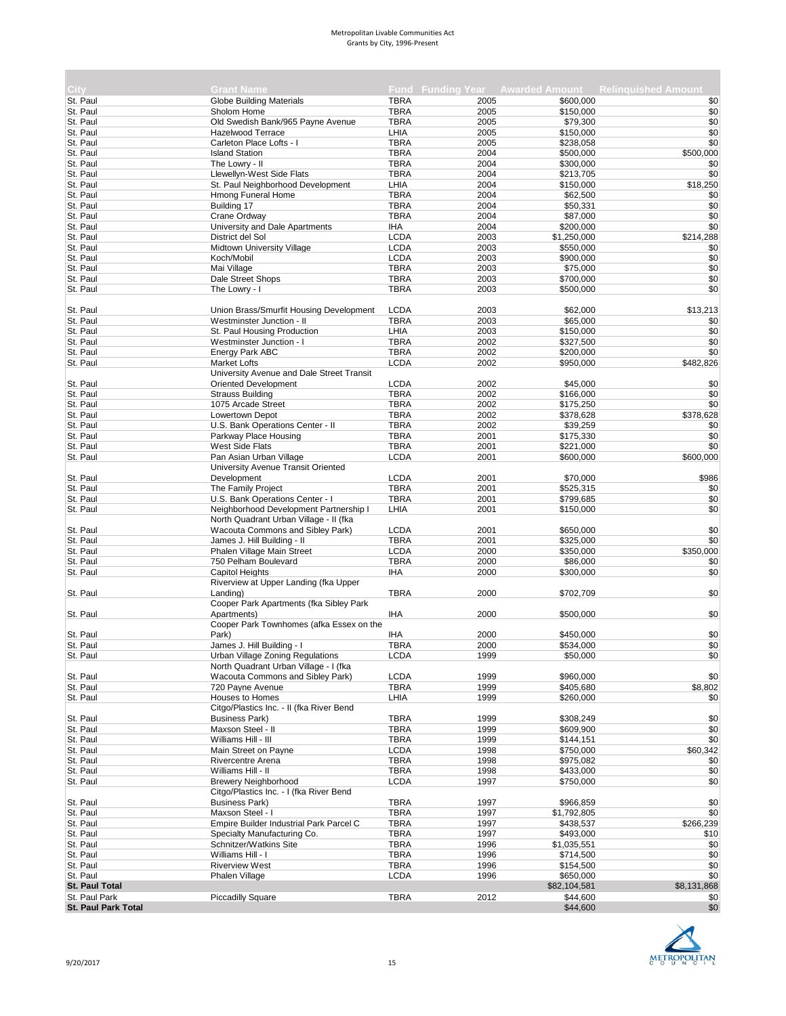| City:                      | <b>Grant Name</b>                                         |                            |              |                       | Fund Funding Year Awarded Amount Relinguished Amount |
|----------------------------|-----------------------------------------------------------|----------------------------|--------------|-----------------------|------------------------------------------------------|
| St. Paul                   | <b>Globe Building Materials</b>                           | <b>TBRA</b>                | 2005         | \$600.000             | \$0                                                  |
| St. Paul                   | Sholom Home                                               | <b>TBRA</b>                | 2005         | \$150,000             | \$0                                                  |
| St. Paul                   | Old Swedish Bank/965 Payne Avenue                         | <b>TBRA</b>                | 2005         | \$79,300              | \$0                                                  |
| St. Paul                   | Hazelwood Terrace                                         | LHIA                       | 2005         | \$150,000             | \$0                                                  |
| St. Paul                   | Carleton Place Lofts - I                                  | <b>TBRA</b>                | 2005         | \$238,058             | \$0                                                  |
| St. Paul                   | <b>Island Station</b>                                     | <b>TBRA</b>                | 2004         | \$500,000             | \$500,000                                            |
| St. Paul                   | The Lowry - II                                            | <b>TBRA</b>                | 2004         | \$300,000             | \$0                                                  |
| St. Paul                   | Llewellyn-West Side Flats                                 | <b>TBRA</b>                | 2004         | \$213.705             | \$0                                                  |
| St. Paul                   | St. Paul Neighborhood Development                         | LHIA                       | 2004         | \$150,000             | \$18,250                                             |
| St. Paul                   | Hmong Funeral Home                                        | <b>TBRA</b>                | 2004         | \$62,500              | \$0                                                  |
| St. Paul                   | Building 17                                               | <b>TBRA</b>                | 2004         | \$50,331              | \$0                                                  |
| St. Paul                   | Crane Ordway                                              | <b>TBRA</b>                | 2004         | \$87,000              | \$0                                                  |
| St. Paul                   | University and Dale Apartments                            | <b>IHA</b>                 | 2004         | \$200,000             | \$0                                                  |
| St. Paul                   | District del Sol                                          | <b>LCDA</b>                | 2003         | \$1,250,000           | \$214,288                                            |
| St. Paul                   | Midtown University Village                                | <b>LCDA</b>                | 2003         | \$550,000             | \$0                                                  |
| St. Paul                   | Koch/Mobil                                                | <b>LCDA</b>                | 2003         | \$900,000             | \$0                                                  |
| St. Paul                   | Mai Village                                               | <b>TBRA</b>                | 2003         | \$75,000              | \$0                                                  |
| St. Paul                   | Dale Street Shops                                         | <b>TBRA</b>                | 2003         | \$700,000             | \$0                                                  |
| St. Paul                   | The Lowry - I                                             | <b>TBRA</b>                | 2003         | \$500,000             | \$0                                                  |
|                            |                                                           |                            |              |                       |                                                      |
| St. Paul                   | Union Brass/Smurfit Housing Development                   | <b>LCDA</b>                | 2003         | \$62,000              | \$13,213                                             |
| St. Paul                   | Westminster Junction - II                                 | <b>TBRA</b>                | 2003         | \$65,000              | \$0                                                  |
| St. Paul                   | St. Paul Housing Production                               | LHIA                       | 2003         | \$150,000             | \$0                                                  |
| St. Paul                   | Westminster Junction - I                                  | <b>TBRA</b>                | 2002         | \$327,500             | \$0                                                  |
| St. Paul                   | Energy Park ABC                                           | <b>TBRA</b>                | 2002         | \$200,000             | \$0                                                  |
| St. Paul                   | <b>Market Lofts</b>                                       | <b>LCDA</b>                | 2002         | \$950,000             | \$482,826                                            |
|                            | University Avenue and Dale Street Transit                 |                            |              |                       |                                                      |
| St. Paul                   | <b>Oriented Development</b>                               | <b>LCDA</b>                | 2002         | \$45,000              | \$0                                                  |
| St. Paul                   | <b>Strauss Building</b>                                   | <b>TBRA</b>                | 2002         | \$166,000             | \$0                                                  |
| St. Paul                   | 1075 Arcade Street                                        | <b>TBRA</b><br><b>TBRA</b> | 2002<br>2002 | \$175,250             | \$0<br>\$378,628                                     |
| St. Paul                   | Lowertown Depot                                           | <b>TBRA</b>                | 2002         | \$378,628             |                                                      |
| St. Paul<br>St. Paul       | U.S. Bank Operations Center - II<br>Parkway Place Housing | <b>TBRA</b>                | 2001         | \$39,259<br>\$175,330 | \$0<br>\$0                                           |
| St. Paul                   | <b>West Side Flats</b>                                    | <b>TBRA</b>                | 2001         | \$221,000             | \$0                                                  |
| St. Paul                   | Pan Asian Urban Village                                   | <b>LCDA</b>                | 2001         | \$600,000             | \$600,000                                            |
|                            | University Avenue Transit Oriented                        |                            |              |                       |                                                      |
| St. Paul                   | Development                                               | <b>LCDA</b>                | 2001         | \$70,000              | \$986                                                |
| St. Paul                   | The Family Project                                        | <b>TBRA</b>                | 2001         | \$525,315             | \$0                                                  |
| St. Paul                   | U.S. Bank Operations Center - I                           | <b>TBRA</b>                | 2001         | \$799,685             | \$0                                                  |
| St. Paul                   | Neighborhood Development Partnership I                    | LHIA                       | 2001         | \$150,000             | \$0                                                  |
|                            | North Quadrant Urban Village - II (fka                    |                            |              |                       |                                                      |
| St. Paul                   | Wacouta Commons and Sibley Park)                          | <b>LCDA</b>                | 2001         | \$650,000             | \$0                                                  |
| St. Paul                   | James J. Hill Building - II                               | <b>TBRA</b>                | 2001         | \$325,000             | \$0                                                  |
| St. Paul                   | Phalen Village Main Street                                | <b>LCDA</b>                | 2000         | \$350,000             | \$350,000                                            |
| St. Paul                   | 750 Pelham Boulevard                                      | <b>TBRA</b>                | 2000         | \$86,000              | \$0                                                  |
| St. Paul                   | Capitol Heights                                           | <b>IHA</b>                 | 2000         | \$300,000             | \$0                                                  |
|                            | Riverview at Upper Landing (fka Upper                     |                            |              |                       |                                                      |
| St. Paul                   | Landing)                                                  | <b>TBRA</b>                | 2000         | \$702,709             | \$0                                                  |
|                            | Cooper Park Apartments (fka Sibley Park                   |                            |              |                       |                                                      |
| St. Paul                   | Apartments)                                               | <b>IHA</b>                 | 2000         | \$500,000             | \$0                                                  |
|                            | Cooper Park Townhomes (afka Essex on the                  |                            |              |                       |                                                      |
| St. Paul                   | Park)                                                     | IHA                        | 2000         | \$450.000             | \$0                                                  |
| St. Paul                   | James J. Hill Building - I                                | <b>TBRA</b>                | 2000         | \$534,000             | \$0                                                  |
| St. Paul                   | Urban Village Zoning Regulations                          | <b>LCDA</b>                | 1999         | \$50,000              | \$0                                                  |
|                            | North Quadrant Urban Village - I (fka                     |                            |              |                       |                                                      |
| St. Paul                   | Wacouta Commons and Sibley Park)                          | <b>LCDA</b>                | 1999         | \$960,000             | \$0                                                  |
| St. Paul                   | 720 Payne Avenue                                          | <b>TBRA</b>                | 1999         | \$405,680             | \$8,802                                              |
| St. Paul                   | <b>Houses to Homes</b>                                    | LHIA                       | 1999         | \$260,000             | \$0                                                  |
|                            | Citgo/Plastics Inc. - II (fka River Bend                  |                            |              |                       |                                                      |
| St. Paul                   | <b>Business Park)</b>                                     | <b>TBRA</b>                | 1999         | \$308,249             | \$0                                                  |
| St. Paul                   | Maxson Steel - II                                         | <b>TBRA</b>                | 1999         | \$609,900             | \$0                                                  |
| St. Paul                   | Williams Hill - III                                       | <b>TBRA</b>                | 1999         | \$144,151             | \$0                                                  |
| St. Paul                   | Main Street on Payne                                      | <b>LCDA</b>                | 1998         | \$750,000             | \$60,342                                             |
| St. Paul                   | Rivercentre Arena                                         | <b>TBRA</b>                | 1998         | \$975,082             | \$0                                                  |
| St. Paul                   | Williams Hill - II                                        | <b>TBRA</b>                | 1998         | \$433,000             | \$0                                                  |
| St. Paul                   | <b>Brewery Neighborhood</b>                               | <b>LCDA</b>                | 1997         | \$750,000             | \$0                                                  |
|                            | Citgo/Plastics Inc. - I (fka River Bend                   |                            |              |                       |                                                      |
| St. Paul                   | <b>Business Park)</b>                                     | <b>TBRA</b>                | 1997         | \$966,859             | \$0                                                  |
| St. Paul                   | Maxson Steel - I                                          | <b>TBRA</b>                | 1997         | \$1,792,805           | \$0                                                  |
| St. Paul                   | Empire Builder Industrial Park Parcel C                   | <b>TBRA</b>                | 1997         | \$438,537             | \$266,239                                            |
| St. Paul                   | Specialty Manufacturing Co.                               | <b>TBRA</b>                | 1997         | \$493,000             | \$10                                                 |
| St. Paul                   | Schnitzer/Watkins Site                                    | <b>TBRA</b>                | 1996         | \$1,035,551           | \$0                                                  |
| St. Paul                   | Williams Hill - I                                         | <b>TBRA</b>                | 1996         | \$714,500             | \$0                                                  |
| St. Paul                   | <b>Riverview West</b>                                     | <b>TBRA</b>                | 1996         | \$154,500             | \$0                                                  |
| St. Paul                   | Phalen Village                                            | <b>LCDA</b>                | 1996         | \$650,000             | \$0                                                  |
| <b>St. Paul Total</b>      |                                                           |                            |              | \$82,104,581          | \$8,131,868                                          |
| St. Paul Park              | <b>Piccadilly Square</b>                                  | <b>TBRA</b>                | 2012         | \$44,600              | \$0                                                  |
| <b>St. Paul Park Total</b> |                                                           |                            |              | \$44,600              | \$0                                                  |
|                            |                                                           |                            |              |                       |                                                      |